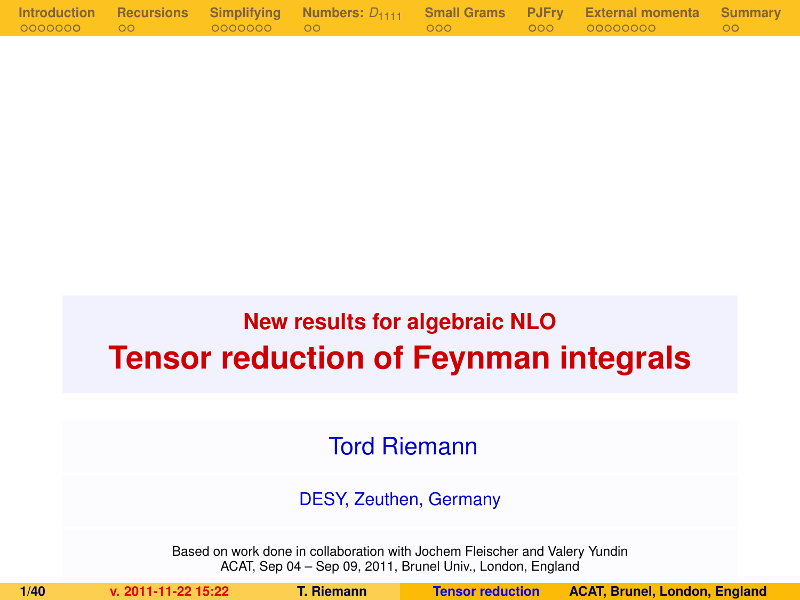|            |             |  | Introduction Recursions Simplifying Numbers: $D_{1111}$ Small Grams PJFry External momenta Summary |                  |
|------------|-------------|--|----------------------------------------------------------------------------------------------------|------------------|
| 0000000 00 | 00000000 00 |  | . 000 00000000 .                                                                                   | $\sim$ 00 $\sim$ |

# **New results for algebraic NLO Tensor reduction of Feynman integrals**

Tord Riemann

DESY, Zeuthen, Germany

Based on work done in collaboration with Jochem Fleischer and Valery Yundin ACAT, Sep 04 – Sep 09, 2011, Brunel Univ., London, England

<span id="page-0-0"></span>

**1/40 v. 2011-11-22 15:22 T. Riemann [Tensor reduction](#page-39-0) ACAT, Brunel, London, England**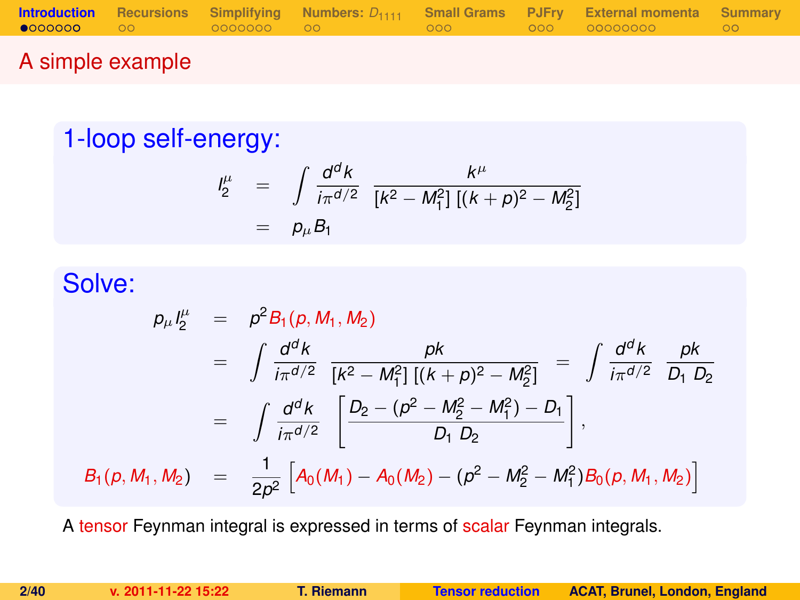|        |  |  | <b>Introduction</b> Recursions Simplifying Numbers: $D_{1111}$ Small Grams PJFry External momenta Summary |  |
|--------|--|--|-----------------------------------------------------------------------------------------------------------|--|
|        |  |  |                                                                                                           |  |
| ______ |  |  |                                                                                                           |  |

### A simple example

### 1-loop self-energy:

<span id="page-1-0"></span>
$$
\begin{array}{rcl}\n l_2^{\mu} & = & \int \frac{d^d k}{i\pi^{d/2}} \frac{k^{\mu}}{[k^2 - M_1^2] \left[ (k+p)^2 - M_2^2 \right]} \\
 & = & p_{\mu} B_1\n \end{array}
$$

### Solve:

$$
p_{\mu}I_{2}^{\mu} = p^{2}B_{1}(p, M_{1}, M_{2})
$$
  
\n
$$
= \int \frac{d^{d}k}{i\pi^{d/2}} \frac{pk}{[k^{2} - M_{1}^{2}][(k+p)^{2} - M_{2}^{2}]} = \int \frac{d^{d}k}{i\pi^{d/2}} \frac{pk}{D_{1} D_{2}}
$$
  
\n
$$
= \int \frac{d^{d}k}{i\pi^{d/2}} \left[ \frac{D_{2} - (p^{2} - M_{2}^{2} - M_{1}^{2}) - D_{1}}{D_{1} D_{2}} \right],
$$
  
\n
$$
B_{1}(p, M_{1}, M_{2}) = \frac{1}{2p^{2}} \left[ A_{0}(M_{1}) - A_{0}(M_{2}) - (p^{2} - M_{2}^{2} - M_{1}^{2}) B_{0}(p, M_{1}, M_{2}) \right]
$$

A tensor Feynman integral is expressed in terms of scalar Feynman integrals.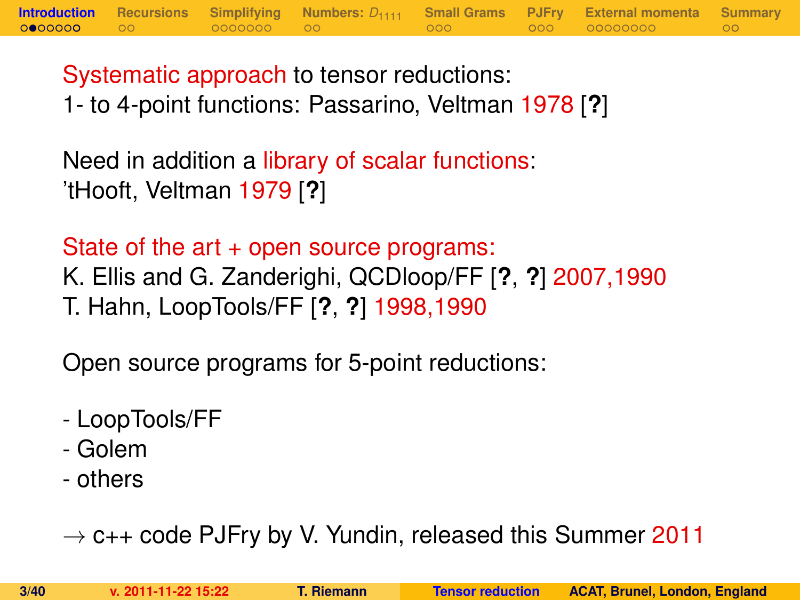Systematic approach to tensor reductions: 1- to 4-point functions: Passarino, Veltman 1978 [**?**]

**[Introduction](#page-1-0) [Recursions](#page-10-0) [Simplifying](#page-12-0) [Numbers:](#page-19-0)** *D*<sup>1111</sup> **[Small Grams](#page-21-0) [PJFry](#page-24-0) [External momenta](#page-28-0) [Summary](#page-37-0)**

Need in addition a library of scalar functions: 'tHooft, Veltman 1979 [**?**]

State of the art + open source programs: K. Ellis and G. Zanderighi, QCDloop/FF [**?**, **?**] 2007,1990 T. Hahn, LoopTools/FF [**?**, **?**] 1998,1990

Open source programs for 5-point reductions:

- LoopTools/FF
- Golem
- others

 $\rightarrow$  c++ code PJFry by V. Yundin, released this Summer 2011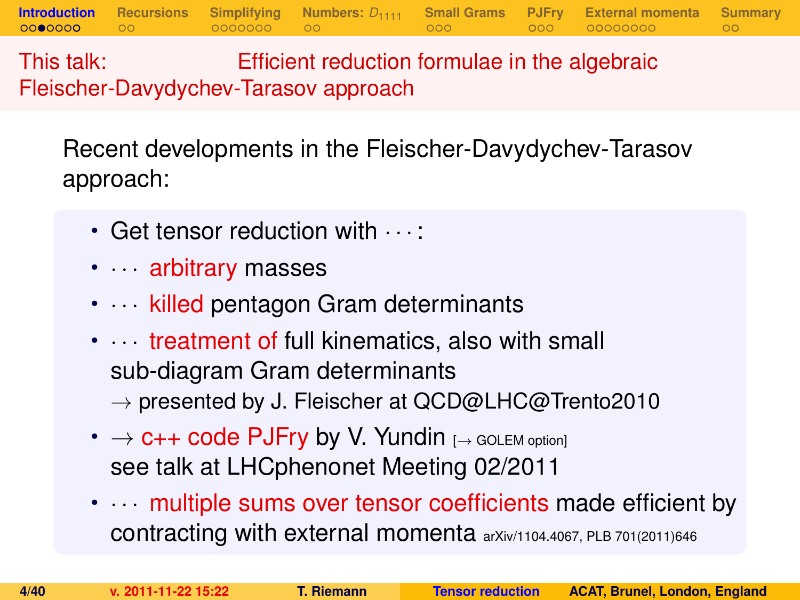This talk: Efficient reduction formulae in the algebraic Fleischer-Davydychev-Tarasov approach

Recent developments in the Fleischer-Davydychev-Tarasov approach:

**[Introduction](#page-1-0) [Recursions](#page-10-0) [Simplifying](#page-12-0) [Numbers:](#page-19-0)** *D*<sup>1111</sup> **[Small Grams](#page-21-0) [PJFry](#page-24-0) [External momenta](#page-28-0) [Summary](#page-37-0)**

- Get tensor reduction with  $\cdots$ :
- · · arbitrary masses
- $\cdots$  killed pentagon Gram determinants
- $\cdots$  treatment of full kinematics, also with small sub-diagram Gram determinants
	- $\rightarrow$  presented by J. Fleischer at QCD@LHC@Trento2010
- $\rightarrow$  C++ code PJFry by V. Yundin  $I\rightarrow$  GOLEM option] see talk at LHCphenonet Meeting 02/2011
- $\cdots$  multiple sums over tensor coefficients made efficient by contracting with external momenta arXiv/1104.4067, PLB 701(2011)646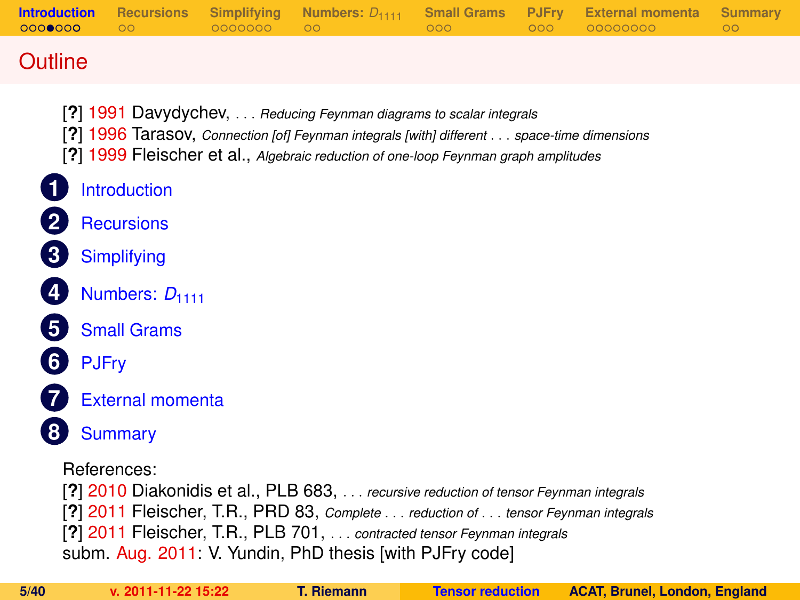| 0000000        | - 00 | 0000000 00 | 000 | $-000 -$ | <b>Introduction</b> Recursions Simplifying Numbers: $D_{1111}$ Small Grams PJFry External momenta Summary<br>00000000 | $\circ$ |
|----------------|------|------------|-----|----------|-----------------------------------------------------------------------------------------------------------------------|---------|
| <b>Outline</b> |      |            |     |          |                                                                                                                       |         |

- [**?**] 1991 Davydychev, . . . *Reducing Feynman diagrams to scalar integrals*
- [**?**] 1996 Tarasov, *Connection [of] Feynman integrals [with] different* . . . *space-time dimensions*
- [**?**] 1999 Fleischer et al., *Algebraic reduction of one-loop Feynman graph amplitudes*
- **1** [Introduction](#page-1-0)
	- **2** [Recursions](#page-10-0)
- **3** [Simplifying](#page-12-0)
	- **[Numbers:](#page-19-0) D<sub>1111</sub>**
- **5** [Small Grams](#page-21-0)
- **6** [PJFry](#page-24-0)
- 
- **7** [External momenta](#page-28-0)
- **8** [Summary](#page-37-0)

References:

[**?**] 2010 Diakonidis et al., PLB 683, . . . *recursive reduction of tensor Feynman integrals* [**?**] 2011 Fleischer, T.R., PRD 83, *Complete* . . . *reduction of* . . . *tensor Feynman integrals* [**?**] 2011 Fleischer, T.R., PLB 701, . . . *contracted tensor Feynman integrals* subm. Aug. 2011: V. Yundin, PhD thesis [with PJFry code]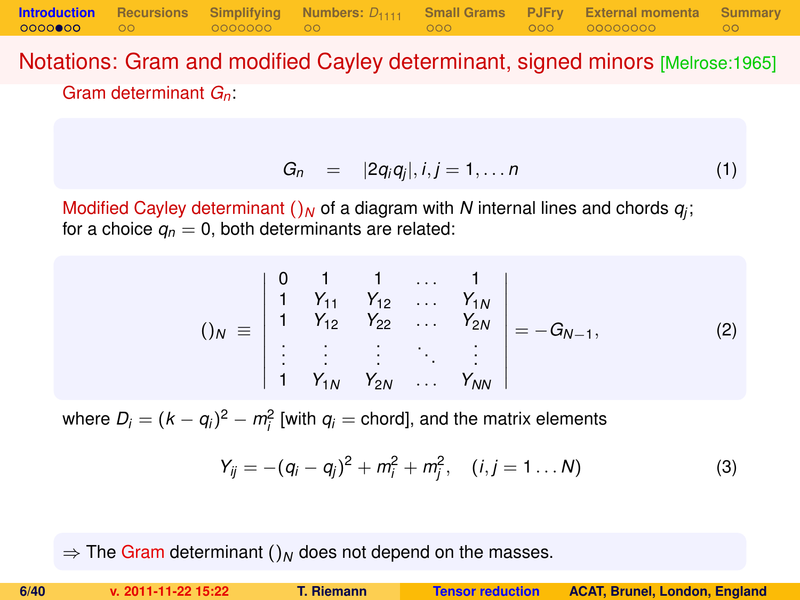Notations: Gram and modified Cayley determinant, signed minors [Melrose:1965] Gram determinant *Gn*:

**[Introduction](#page-1-0) [Recursions](#page-10-0) [Simplifying](#page-12-0) [Numbers:](#page-19-0)** *D*<sup>1111</sup> **[Small Grams](#page-21-0) [PJFry](#page-24-0) [External momenta](#page-28-0) [Summary](#page-37-0)**

$$
G_n = |2q_iq_j|, i,j = 1,\ldots n \qquad (1)
$$

Modified Cayley determinant  $()_N$  of a diagram with  $N$  internal lines and chords  $q_j$ ; for a choice  $q_n = 0$ , both determinants are related:

$$
()_{N} \equiv \begin{vmatrix} 0 & 1 & 1 & \dots & 1 \\ 1 & Y_{11} & Y_{12} & \dots & Y_{1N} \\ 1 & Y_{12} & Y_{22} & \dots & Y_{2N} \\ \vdots & \vdots & \vdots & \ddots & \vdots \\ 1 & Y_{1N} & Y_{2N} & \dots & Y_{NN} \end{vmatrix} = -G_{N-1},
$$
 (2)

where  $D_i = (k - q_i)^2 - m_i^2$  [with  $q_i$  = chord], and the matrix elements

$$
Y_{ij} = -(q_i - q_j)^2 + m_i^2 + m_j^2, \quad (i, j = 1 \dots N)
$$
 (3)

 $\Rightarrow$  The Gram determinant ()<sub>N</sub> does not depend on the masses.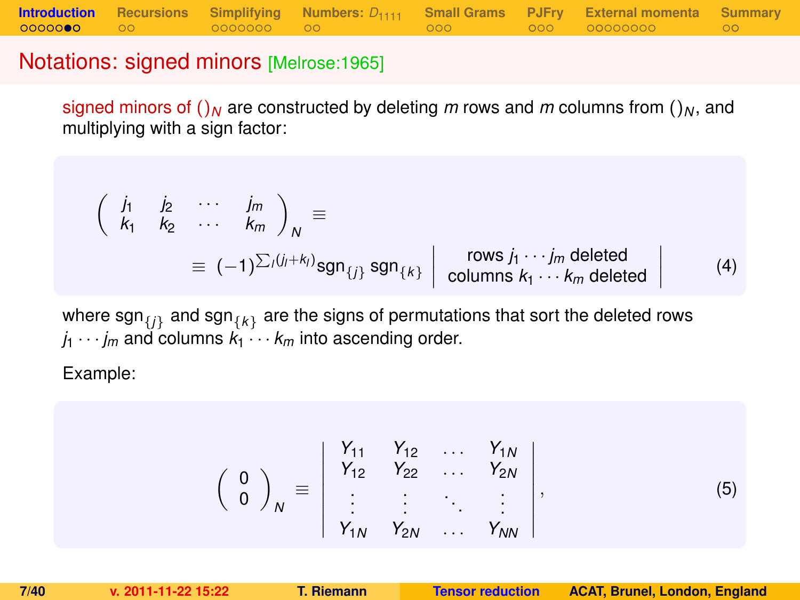### Notations: signed minors [Melrose:1965]

signed minors of  $(N<sub>N</sub>)$  are constructed by deleting *m* rows and *m* columns from  $(N<sub>N</sub>)$ , and multiplying with a sign factor:

$$
\begin{pmatrix}\n\dot{J}_1 & \dot{J}_2 & \cdots & \dot{J}_m \\
k_1 & k_2 & \cdots & k_m\n\end{pmatrix}_N \equiv \equiv (-1)^{\sum_i (j_i + k_i)} \text{sgn}_{\{j\}} \text{sgn}_{\{k\}} \begin{pmatrix}\n\text{rows } j_1 \cdots j_m \text{ deleted} \\
\text{columns } k_1 \cdots k_m \text{ deleted}\n\end{pmatrix} \quad (4)
$$

where  $\mathsf{sgn}_{\{j\}}$  and  $\mathsf{sgn}_{\{k\}}$  are the signs of permutations that sort the deleted rows  $j_1 \cdots j_m$  and columns  $k_1 \cdots k_m$  into ascending order.

Example:

$$
\left(\begin{array}{c} 0 \\ 0 \end{array}\right)_N \equiv \left|\begin{array}{cccc} Y_{11} & Y_{12} & \dots & Y_{1N} \\ Y_{12} & Y_{22} & \dots & Y_{2N} \\ \vdots & \vdots & \ddots & \vdots \\ Y_{1N} & Y_{2N} & \dots & Y_{NN} \end{array}\right|, \tag{5}
$$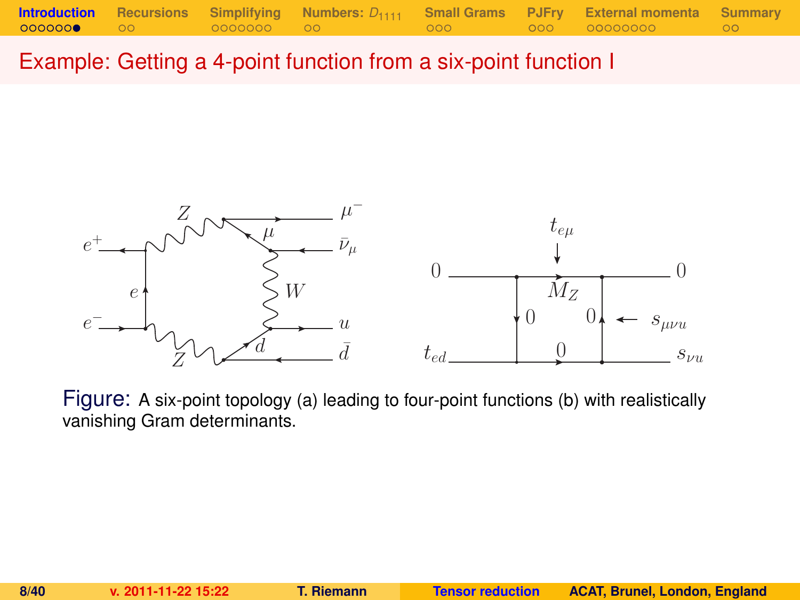Example: Getting a 4-point function from a six-point function I



Figure: A six-point topology (a) leading to four-point functions (b) with realistically vanishing Gram determinants.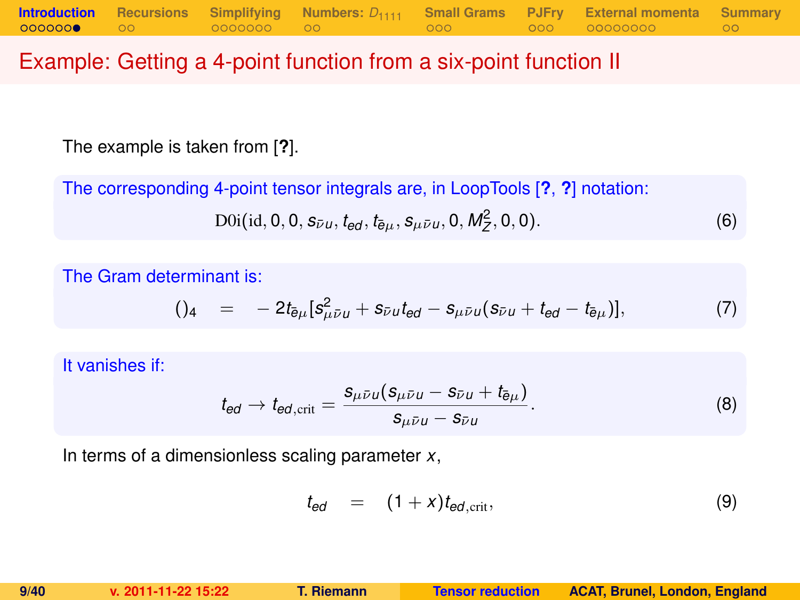### Example: Getting a 4-point function from a six-point function II

The example is taken from [**?**].

The corresponding 4-point tensor integrals are, in LoopTools [**?**, **?**] notation:

$$
D0i(id, 0, 0, s_{\bar{\nu}u}, t_{ed}, t_{\bar{e}\mu}, s_{\mu\bar{\nu}u}, 0, M_Z^2, 0, 0).
$$
 (6)

The Gram determinant is:

$$
()_{4} = -2t_{\bar{e}\mu}[s_{\mu\bar{\nu}\mu}^{2} + s_{\bar{\nu}\mu}t_{\theta d} - s_{\mu\bar{\nu}\mu}(s_{\bar{\nu}\mu} + t_{\theta d} - t_{\bar{e}\mu})], \qquad (7)
$$

It vanishes if:

$$
t_{\text{ed}} \to t_{\text{ed,crit}} = \frac{s_{\mu\bar{\nu}\mu}(s_{\mu\bar{\nu}\mu} - s_{\bar{\nu}\mu} + t_{\bar{\theta}\mu})}{s_{\mu\bar{\nu}\mu} - s_{\bar{\nu}\mu}}.
$$
(8)

In terms of a dimensionless scaling parameter *x*,

$$
t_{ed} = (1+x)t_{ed,\text{crit}}, \qquad (9)
$$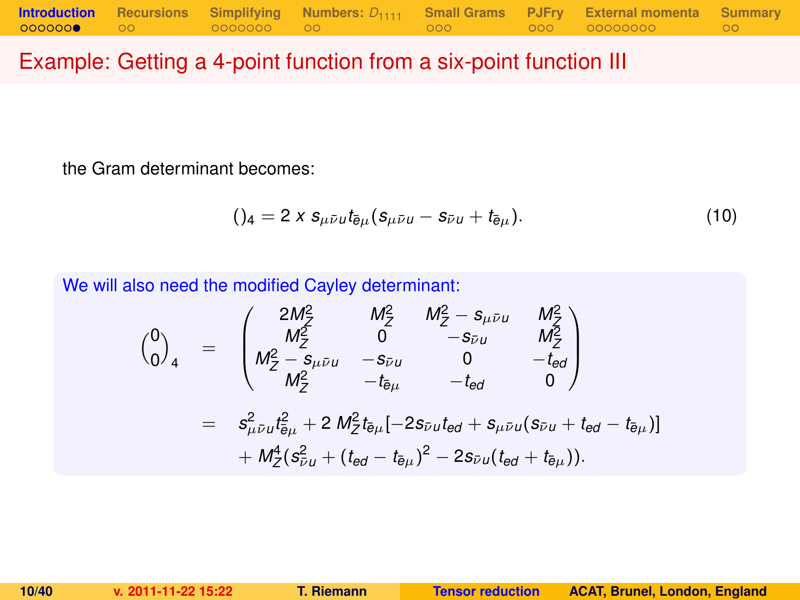### Example: Getting a 4-point function from a six-point function III

the Gram determinant becomes:

$$
()_{4} = 2 \times s_{\mu \bar{\nu} u} t_{\bar{e}\mu} (s_{\mu \bar{\nu} u} - s_{\bar{\nu} u} + t_{\bar{e}\mu}). \tag{10}
$$

We will also need the modified Cayley determinant:

$$
\begin{array}{rcl}\n\binom{0}{0}_4 & = & \begin{pmatrix}\n2M_Z^2 & M_Z^2 & M_Z^2 - s_{\mu\bar{\nu}u} & M_Z^2 \\
M_Z^2 & 0 & -s_{\bar{\nu}u} & M_Z^2 \\
M_Z^2 - s_{\mu\bar{\nu}u} & -s_{\bar{\nu}u} & 0 & -t_{\bar{e}d} \\
M_Z^2 & -t_{\bar{e}\mu} & -t_{\bar{e}d} & 0\n\end{pmatrix} \\
& = & s_{\mu\bar{\nu}u}^2 t_{\bar{e}\mu}^2 + 2 M_Z^2 t_{\bar{e}\mu} [-2s_{\bar{\nu}u}t_{\bar{e}d} + s_{\mu\bar{\nu}u}(s_{\bar{\nu}u} + t_{\bar{e}d} - t_{\bar{e}\mu})] \\
& + M_Z^4 (s_{\bar{\nu}u}^2 + (t_{\bar{e}d} - t_{\bar{e}\mu})^2 - 2s_{\bar{\nu}u}(t_{\bar{e}d} + t_{\bar{e}\mu})).\n\end{array}
$$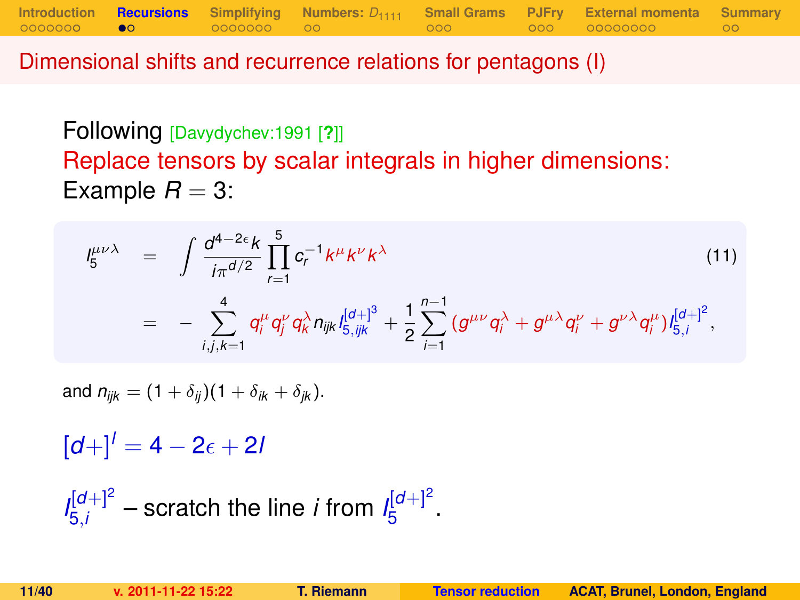Dimensional shifts and recurrence relations for pentagons (I)

Following [Davydychev:1991 [**?**]] Replace tensors by scalar integrals in higher dimensions: Example  $R = 3$ :

**[Introduction](#page-1-0) [Recursions](#page-10-0) [Simplifying](#page-12-0) [Numbers:](#page-19-0)** *D*<sup>1111</sup> **[Small Grams](#page-21-0) [PJFry](#page-24-0) [External momenta](#page-28-0) [Summary](#page-37-0)**

$$
I_{5}^{\mu\nu\lambda} = \int \frac{d^{4-2\epsilon}k}{i\pi^{d/2}} \prod_{r=1}^{5} c_{r}^{-1}k^{\mu}k^{\nu}k^{\lambda}
$$
\n
$$
= - \sum_{i,j,k=1}^{4} q_{i}^{\mu} q_{j}^{\nu} q_{k}^{\lambda} n_{ijk} l_{5,ijk}^{[d+]} + \frac{1}{2} \sum_{i=1}^{n-1} (g^{\mu\nu} q_{i}^{\lambda} + g^{\mu\lambda} q_{i}^{\nu} + g^{\nu\lambda} q_{i}^{\mu}) l_{5,i}^{[d+]}^{2},
$$
\n(11)

and  $n_{ijk} = (1 + \delta_{ij})(1 + \delta_{ik} + \delta_{ik}).$ 

 $[d+1]$ <sup>*l*</sup> = 4 – 2<sub> $\epsilon$ </sub> + 2*l* 

<span id="page-10-0"></span> $I_{5i}^{[d+]2}$  $\frac{d[d+1]^2}{5i}$  – scratch the line *i* from  $I_5^{[d+1]^2}$ י"ם<br>5 ·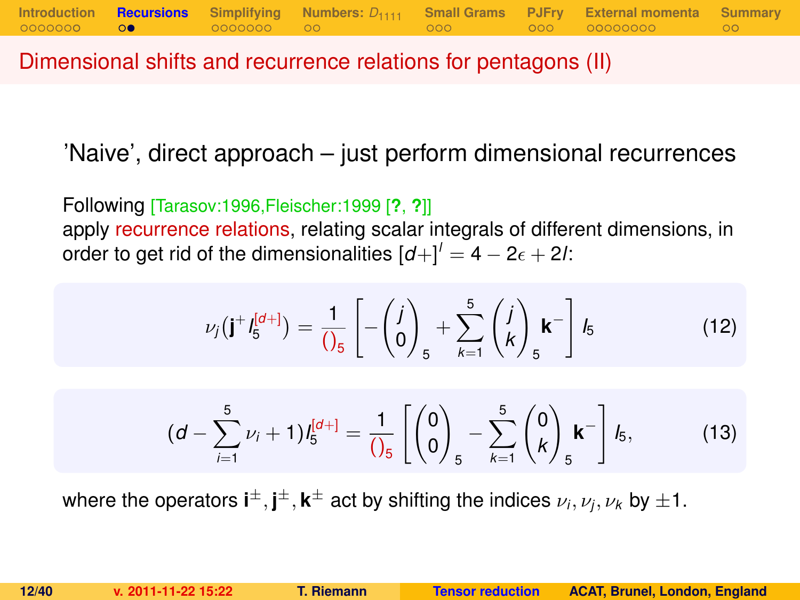Dimensional shifts and recurrence relations for pentagons (II)

'Naive', direct approach – just perform dimensional recurrences

Following [Tarasov:1996,Fleischer:1999 [**?**, **?**]] apply recurrence relations, relating scalar integrals of different dimensions, in order to get rid of the dimensionalities  $\left[d + \right] = 4 - 2\epsilon + 2l$ :

$$
\nu_j(\mathbf{j}^+I_5^{[d+]} ) = \frac{1}{\left(\int_S \right]} \left[ -\left(\begin{matrix} j \\ 0 \end{matrix}\right)_5 + \sum_{k=1}^5 \left(\begin{matrix} j \\ k \end{matrix}\right)_5 \mathbf{k}^- \right] I_5 \tag{12}
$$

<span id="page-11-0"></span>
$$
(d - \sum_{i=1}^{5} \nu_i + 1) I_5^{[d+]} = \frac{1}{\left(\right)_5} \left[ \begin{pmatrix} 0 \\ 0 \end{pmatrix}_5 - \sum_{k=1}^{5} \begin{pmatrix} 0 \\ k \end{pmatrix}_5 \mathbf{k}^- \right] I_5, \tag{13}
$$

where the operators  $\textbf{i}^{\pm}, \textbf{j}^{\pm}, \textbf{k}^{\pm}$  act by shifting the indices  $\nu_i, \nu_j, \nu_k$  by  $\pm 1.$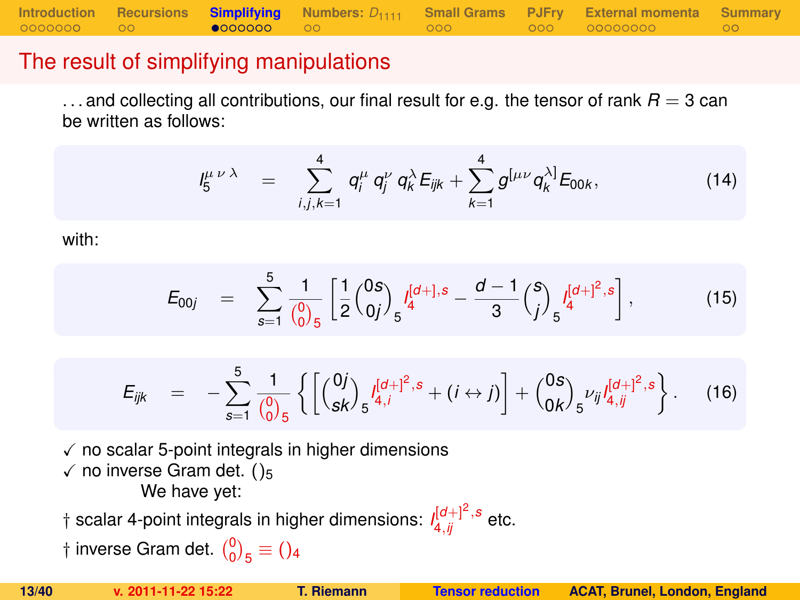**[Introduction](#page-1-0) [Recursions](#page-10-0) [Simplifying](#page-12-0)** [Numbers:](#page-19-0)  $D_{1111}$  [Small Grams](#page-21-0) [PJFry](#page-24-0) [External momenta](#page-28-0) [Summary](#page-37-0)<br>00000000 00 **e000000** 00

### The result of simplifying manipulations

 $\dots$  and collecting all contributions, our final result for e.g. the tensor of rank  $R = 3$  can be written as follows:

$$
I_5^{\mu \nu \lambda} = \sum_{i,j,k=1}^4 q_i^{\mu} q_j^{\nu} q_k^{\lambda} E_{ijk} + \sum_{k=1}^4 g^{[\mu \nu} q_k^{\lambda]} E_{00k}, \qquad (14)
$$

with:

$$
E_{00j} = \sum_{s=1}^{5} \frac{1}{\binom{0}{0.5}} \left[ \frac{1}{2} \binom{0s}{0j} \int_{5}^{[d+],s} -\frac{d-1}{3} \binom{s}{j} \int_{5}^{[d+]^2,s} \right],
$$
(15)

<span id="page-12-0"></span>
$$
E_{ijk} = -\sum_{s=1}^{5} \frac{1}{\binom{0}{0}} \left\{ \left[ \binom{0j}{sk} \frac{I^{[d]+1]^2,s}}{s^{4,j}} + (i \leftrightarrow j) \right] + \binom{0s}{0k} \frac{\nu_{ij} I^{[d]+1^2,s}}{s^{4,j}} \right\}.
$$
 (16)

 $\sqrt{\ }$  no scalar 5-point integrals in higher dimensions  $\checkmark$  no inverse Gram det. ()<sub>5</sub> We have yet:

 $\dagger$  scalar 4-point integrals in higher dimensions:  $\iint_{4,ij}^{[d+]} \int_{-s}^{2}$  etc.

† inverse Gram det.  $\binom{0}{0}_5 \equiv$  ()<sub>4</sub>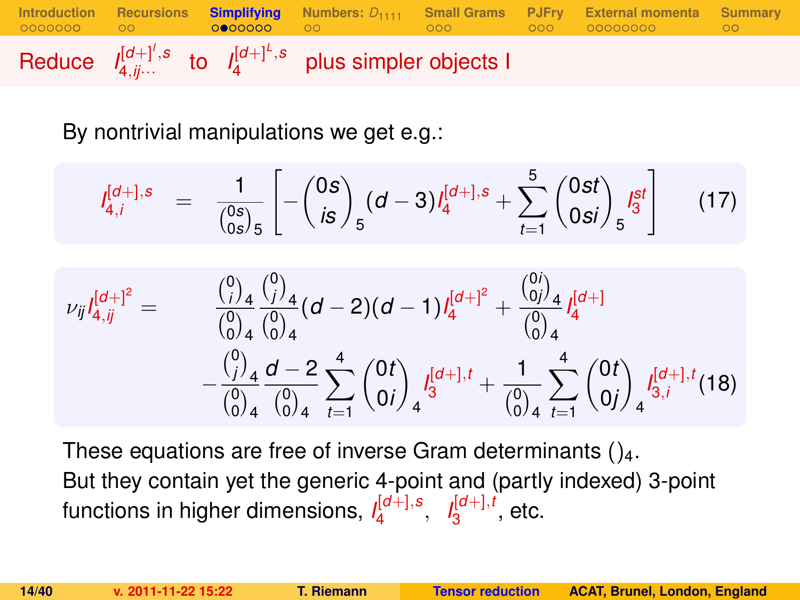

By nontrivial manipulations we get e.g.:

$$
I_{4,i}^{[d+],s} = \frac{1}{\binom{0s}{0s}_5} \left[ -\binom{0s}{is}_5 (d-3) I_4^{[d+],s} + \sum_{t=1}^5 \binom{0st}{0si}_5 I_3^{st} \right] \tag{17}
$$

$$
\nu_{ij}I_{4,jj}^{[d+]^2} = \n\begin{array}{rcl}\n\frac{\binom{0}{j}_4}{\binom{0}{0}_4}\frac{\binom{0}{j}_4}{\binom{0}{0}_4}(d-2)(d-1)I_4^{[d+]^2} + \n\frac{\binom{0}{0j}_4}{\binom{0}{0}_4}I_4^{[d+]} \\
&\quad - \frac{\binom{0}{j}_4}{\binom{0}{0}_4}\frac{d-2}{\binom{0}{0}_4}\sum_{t=1}^4 \binom{0t}{0i}_4 I_3^{[d+1,t]} + \n\frac{1}{\binom{0}{0}_4}\sum_{t=1}^4 \binom{0t}{0j}_4 I_{3,i}^{[d+1,t}(18)\n\end{array}
$$

These equations are free of inverse Gram determinants  $()_4$ . But they contain yet the generic 4-point and (partly indexed) 3-point functions in higher dimensions, *I* [*d*+],*s* 4 , *I* [*d*+],*t*  $\frac{1}{3}^{\left[0\pm\right],i}$ , etc.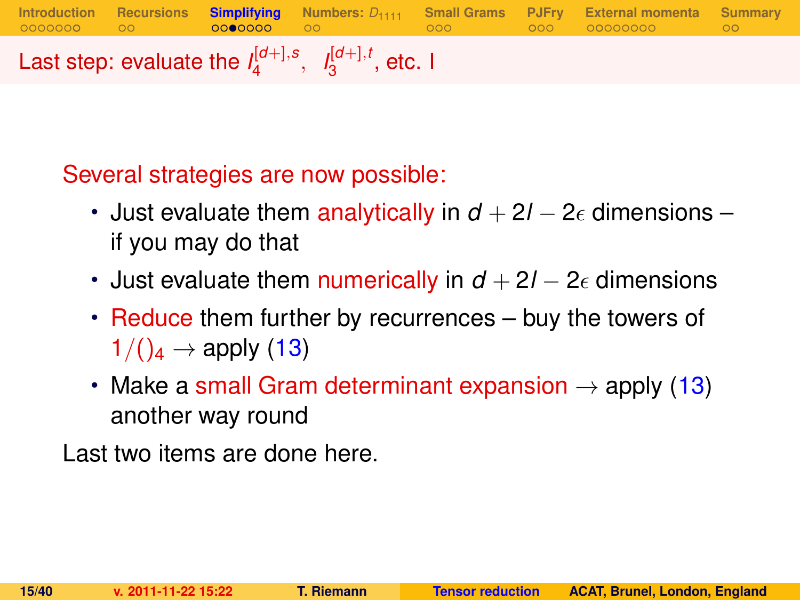**[Introduction](#page-1-0) [Recursions](#page-10-0) [Simplifying](#page-12-0) [Numbers:](#page-19-0)** *D*<sup>1111</sup> **[Small Grams](#page-21-0) [PJFry](#page-24-0) [External momenta](#page-28-0) [Summary](#page-37-0)** Last step: evaluate the  $I_4^{[d+1,s]}$  $I_4^{[d+]}, s, I_3^{[d+]}, t$  $_3^{\mathsf{I}^{\mathsf{U}+\mathsf{J}},\mathsf{t}}$ , etc. I

Several strategies are now possible:

- Just evaluate them analytically in  $d + 2l 2\epsilon$  dimensions if you may do that
- Just evaluate them numerically in  $d + 2l 2\epsilon$  dimensions
- Reduce them further by recurrences buy the towers of  $1/(\mathcal{C}_4 \rightarrow \mathsf{apply}(13))$  $1/(\mathcal{C}_4 \rightarrow \mathsf{apply}(13))$  $1/(\mathcal{C}_4 \rightarrow \mathsf{apply}(13))$
- Make a small Gram determinant expansion  $\rightarrow$  apply [\(13\)](#page-11-0) another way round

Last two items are done here.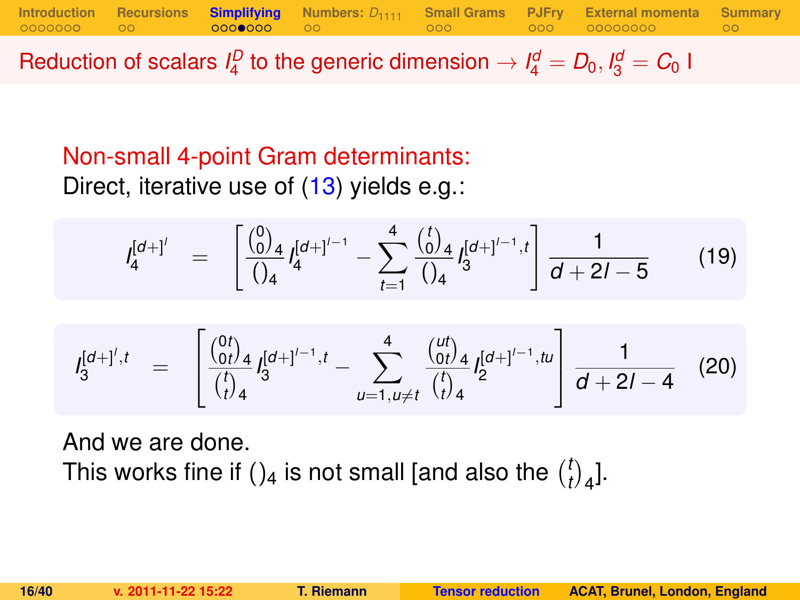Reduction of scalars  $I_4^D$  to the generic dimension  $\rightarrow I_4^d = D_0, I_3^d = C_0$  I

### Non-small 4-point Gram determinants: Direct, iterative use of [\(13\)](#page-11-0) yields e.g.:

$$
I_4^{[d+1']} = \left[ \frac{\binom{0}{0}}{\binom{1}{4}} I_4^{[d+1]^{\prime-1}} - \sum_{t=1}^4 \frac{\binom{t}{0}}{\binom{1}{4}} I_3^{[d+1]^{\prime-1},t} \right] \frac{1}{d+2l-5}
$$
(19)

$$
I_3^{[d+]',t} = \begin{bmatrix} \frac{\binom{0t}{0t}}{t} & d^{[d+1]^{t-1},t} \\ \frac{\binom{t}{0t}}{t} & 4 \end{bmatrix} = \sum_{u=1, u \neq t}^{4} \frac{\binom{ut}{0t}}{\binom{t}{t}} & 4 \frac{[d+1]^{t-1}, tu}{2} & \frac{1}{d+2l-4} \tag{20}
$$

And we are done. This works fine if ()<sub>4</sub> is not small [and also the  $\binom{l}{l}$  $\binom{t}{t}$ <sub>4</sub>].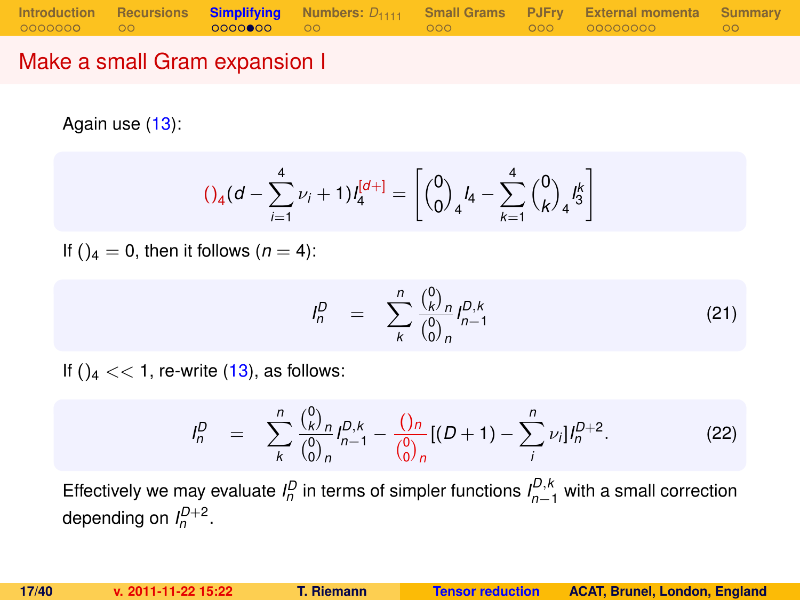### Make a small Gram expansion I

Again use [\(13\)](#page-11-0):

<span id="page-16-1"></span>
$$
()_{4}(d - \sum_{i=1}^{4} \nu_{i} + 1)l_{4}^{[d+]} = \left[{0 \choose 0}_{4}l_{4} - \sum_{k=1}^{4} {0 \choose k}_{4}l_{3}^{k} \right]
$$

If ( $a = 0$ , then it follows ( $n = 4$ ):

$$
I_n^D = \sum_{k}^{n} \frac{\binom{0}{k}^D n}{\binom{0}{0}^n n} I_{n-1}^{D,k}
$$
 (21)

If  $()_4 \ll 1$ , re-write  $(13)$ , as follows:

<span id="page-16-0"></span>
$$
I_n^D = \sum_{k}^{n} \frac{\binom{0}{k} n}{\binom{0}{0} n} I_{n-1}^{D,k} - \frac{\binom{0}{n} n}{\binom{0}{0} n} [(D+1) - \sum_{i}^{n} \nu_i] I_n^{D+2}.
$$
 (22)

Effectively we may evaluate  $I_n^D$  in terms of simpler functions  $I_{n-1}^{D,k}$  with a small correction depending on  $I_n^{D+2}$ .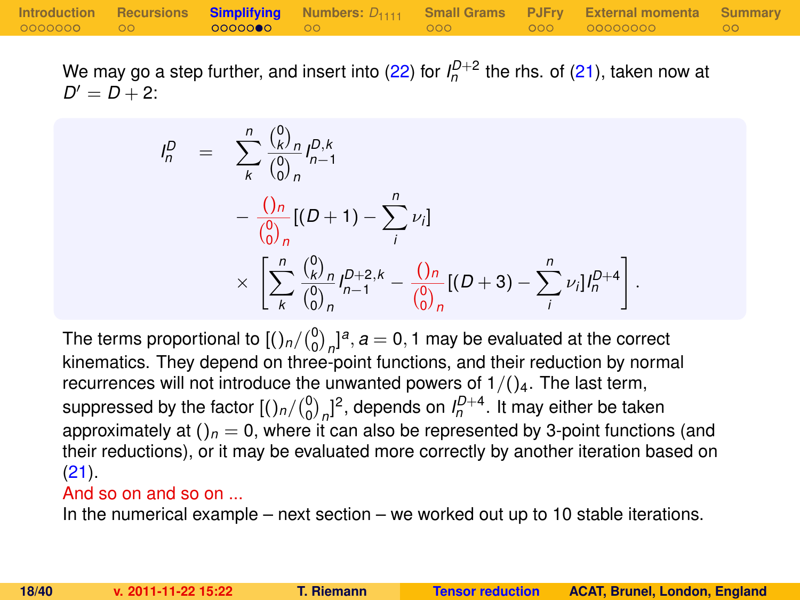We may go a step further, and insert into [\(22\)](#page-16-0) for  $I_n^{D+2}$  the rhs. of [\(21\)](#page-16-1), taken now at  $D' = D + 2$ :

$$
I_n^D = \sum_{k}^{n} \frac{\binom{0}{k}^n}{\binom{0}{0}^n} I_{n-1}^{D,k}
$$
  
- 
$$
\frac{\binom{0}{0}^n}{\binom{0}{0}^n} [(D+1) - \sum_{i}^{n} \nu_i]
$$
  

$$
\times \left[ \sum_{k}^{n} \frac{\binom{0}{k}^n}{\binom{0}{0}^n} I_{n-1}^{D+2,k} - \frac{\binom{0}{0}^n}{\binom{0}{0}^n} [(D+3) - \sum_{i}^{n} \nu_i] I_n^{D+4} \right]
$$

The terms proportional to  $\left[\binom{0}{0}_n\right]^{a}$ ,  $a=0,1$  may be evaluated at the correct kinematics. They depend on three-point functions, and their reduction by normal recurrences will not introduce the unwanted powers of  $1/(\frac{1}{4}$ . The last term, suppressed by the factor  $[(\ln/(\frac{0}{0})_n]^2]$ , depends on  $I_n^{D+4}$ . It may either be taken approximately at  $()_n = 0$ , where it can also be represented by 3-point functions (and their reductions), or it may be evaluated more correctly by another iteration based on [\(21\)](#page-16-1).

#### And so on and so on ...

In the numerical example – next section – we worked out up to 10 stable iterations.

.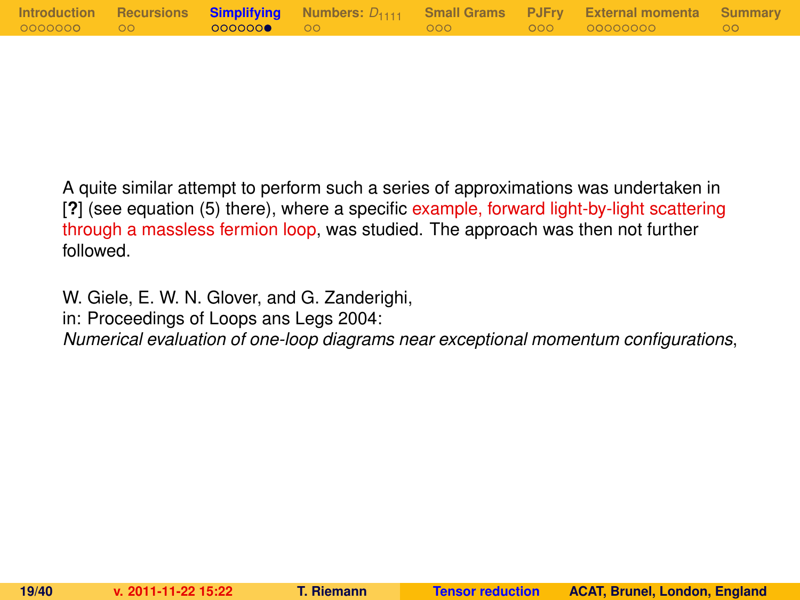|            |                   |         | Introduction Recursions Simplifying Numbers: $D_{1111}$ Small Grams PJFry External momenta Summary |  |
|------------|-------------------|---------|----------------------------------------------------------------------------------------------------|--|
| 0000000 00 | <b>0000000 00</b> | - 000 - | 000 00000000                                                                                       |  |

A quite similar attempt to perform such a series of approximations was undertaken in [**?**] (see equation (5) there), where a specific example, forward light-by-light scattering through a massless fermion loop, was studied. The approach was then not further followed.

W. Giele, E. W. N. Glover, and G. Zanderighi,

in: Proceedings of Loops ans Legs 2004:

*Numerical evaluation of one-loop diagrams near exceptional momentum configurations*,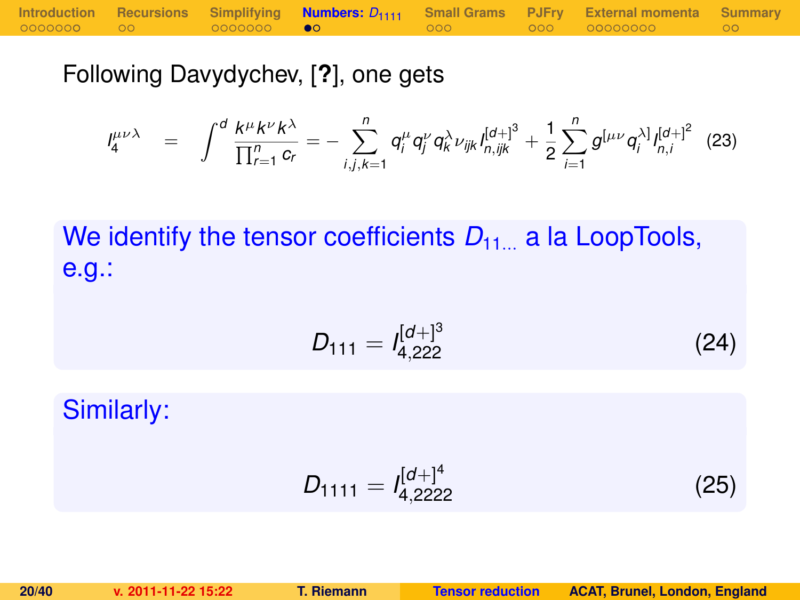|            |                   |                   | Introduction Recursions Simplifying <b>Numbers:</b> $D_{1111}$ Small Grams PJFry External momenta Summary |  |
|------------|-------------------|-------------------|-----------------------------------------------------------------------------------------------------------|--|
| 0000000 00 | 0000000 <b>00</b> | $\sim$ 000 $\sim$ |                                                                                                           |  |

Following Davydychev, [**?**], one gets

$$
I_4^{\mu\nu\lambda} = \int^d \frac{k^{\mu}k^{\nu}k^{\lambda}}{\prod_{r=1}^n c_r} = -\sum_{i,j,k=1}^n q_i^{\mu} q_j^{\nu} q_k^{\lambda} \nu_{ijk} I_{n,ijk}^{[d+]^3} + \frac{1}{2} \sum_{i=1}^n g^{[\mu\nu} q_i^{\lambda]} I_{n,i}^{[d+]^2}
$$
(23)

We identify the tensor coefficients  $D_{11}$  a la LoopTools, e.g.:

$$
D_{111} = I_{4,222}^{[d+]^{3}}
$$
 (24)

Similarly:

<span id="page-19-0"></span>
$$
D_{1111} = I_{4,2222}^{[d+]^4}
$$
 (25)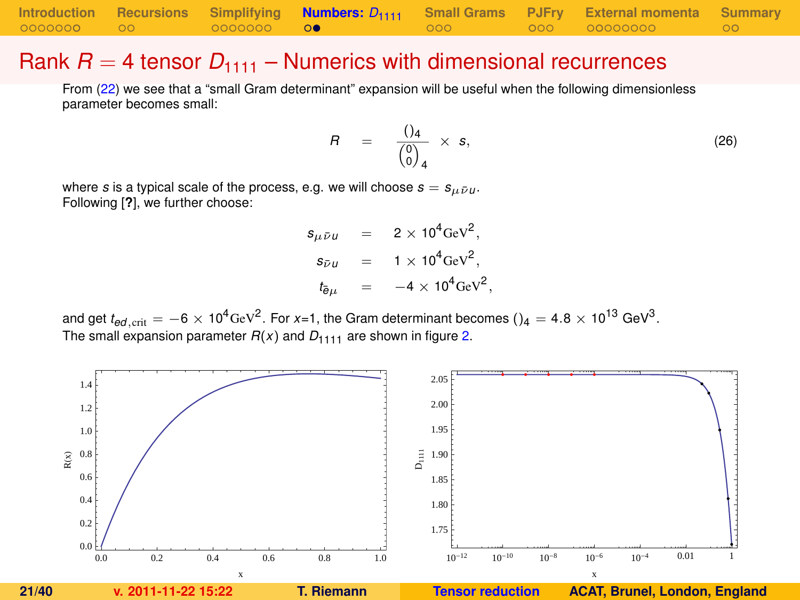|            |                   |                   | Introduction Recursions Simplifying <b>Numbers:</b> $D_{1111}$ Small Grams PJFry External momenta Summary |      |
|------------|-------------------|-------------------|-----------------------------------------------------------------------------------------------------------|------|
| 0000000 00 | 0000000 <b>00</b> | $\sim$ 000 $\sim$ |                                                                                                           | ം റെ |

#### Rank  $R = 4$  tensor  $D_{1111}$  – Numerics with dimensional recurrences

From [\(22\)](#page-16-0) we see that a "small Gram determinant" expansion will be useful when the following dimensionless parameter becomes small:

<span id="page-20-1"></span>
$$
R = \frac{()_4}{\begin{pmatrix} 0 \\ 0 \end{pmatrix}_4} \times s, \tag{26}
$$

where *s* is a typical scale of the process, e.g. we will choose  $s = s_{\mu \bar{\nu} \mu}$ . Following [**?**], we further choose:

> $s_{\mu\bar{\nu}\mu}$  = 2 × 10<sup>4</sup>GeV<sup>2</sup>,  $s_{\bar{\nu}u}$  = 1 × 10<sup>4</sup>GeV<sup>2</sup>,  $t_{\bar{e}\mu}$  =  $-4 \times 10^4 \text{GeV}^2$ ,

and get  $t_{ed,\rm crit}=-6\times10^4$ GeV $^2$ . For *x*=1, the Gram determinant becomes () $_4=$  4.8  $\times$  10 $^{13}$  GeV $^3$ . The small expansion parameter  $R(x)$  and  $D_{1111}$  are shown in figure [2.](#page-20-0)

<span id="page-20-0"></span>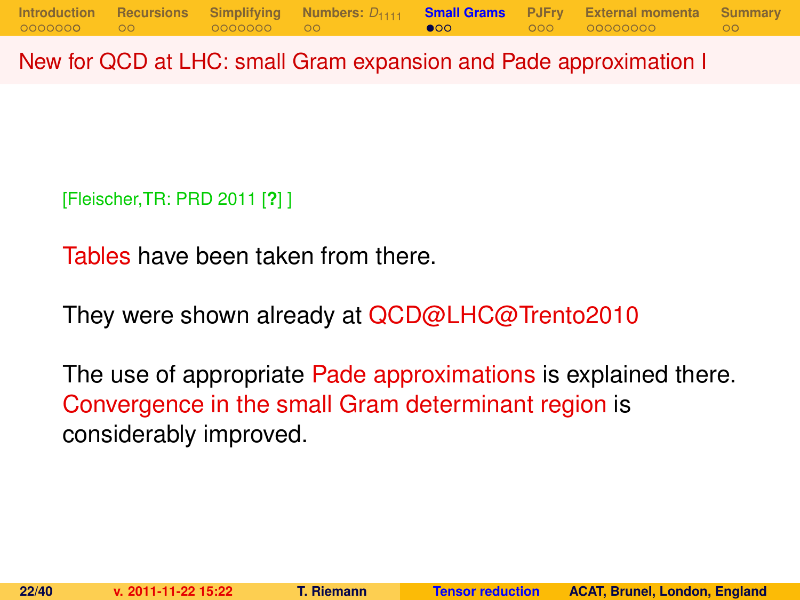New for QCD at LHC: small Gram expansion and Pade approximation I

[Fleischer,TR: PRD 2011 [**?**] ]

Tables have been taken from there.

They were shown already at QCD@LHC@Trento2010

<span id="page-21-0"></span>The use of appropriate Pade approximations is explained there. Convergence in the small Gram determinant region is considerably improved.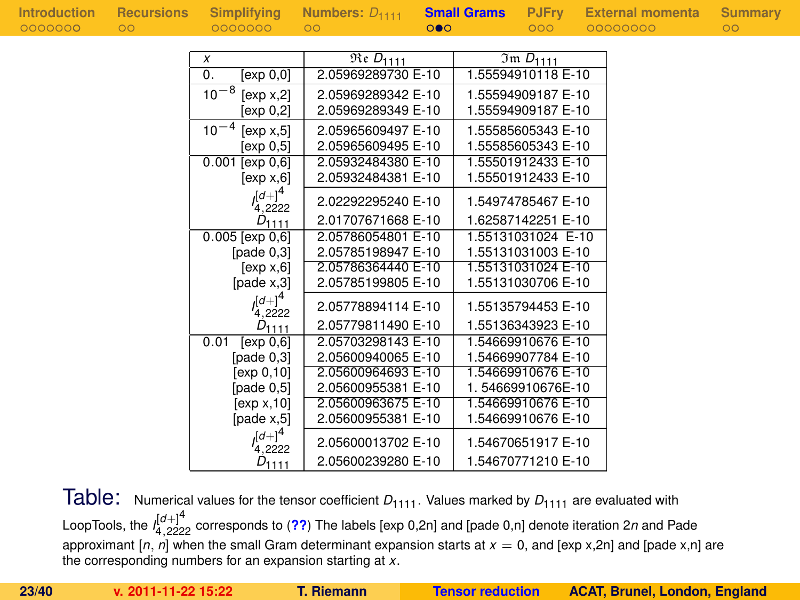|  |  |  |  | Introduction |  |  |  |  |  |
|--|--|--|--|--------------|--|--|--|--|--|
|  |  |  |  |              |  |  |  |  |  |
|  |  |  |  |              |  |  |  |  |  |
|  |  |  |  | 0000000      |  |  |  |  |  |
|  |  |  |  |              |  |  |  |  |  |

| x                       | $\overline{\mathfrak{Re}}$ $D_{1111}$ | $\overline{3}$ m D <sub>1111</sub> |
|-------------------------|---------------------------------------|------------------------------------|
| 0.<br>[exp 0,0]         | 2.05969289730 E-10                    | 1.55594910118 E-10                 |
| $10^{-8}$<br>[exp x, 2] | 2.05969289342 E-10                    | 1.55594909187 E-10                 |
| [exp 0,2]               | 2.05969289349 E-10                    | 1.55594909187 E-10                 |
| $10^{-4}$<br>[exp x, 5] | 2.05965609497 E-10                    | 1.55585605343 E-10                 |
| [exp 0.5]               | 2.05965609495 E-10                    | 1.55585605343 E-10                 |
| 0.001<br>[exp 0, 6]     | 2.05932484380 E-10                    | 1.55501912433 E-10                 |
| [exp x, 6]              | 2.05932484381 E-10                    | 1.55501912433 E-10                 |
| $l_{4,2222}^{[d+]}$     | 2.02292295240 E-10                    | 1.54974785467 E-10                 |
| $D_{1111}$              | 2.01707671668 E-10                    | 1.62587142251 E-10                 |
| $0.005$ [exp $0,6$ ]    | 2.05786054801 E-10                    | 1.55131031024 E-10                 |
| [pade $0,3$ ]           | 2.05785198947 E-10                    | 1.55131031003 E-10                 |
| [exp x, 6]              | 2.05786364440 E-10                    | 1.55131031024 E-10                 |
| [page x, 3]             | 2.05785199805 E-10                    | 1.55131030706 E-10                 |
| $(a+1)^4$<br>4,2222     | 2.05778894114 E-10                    | 1.55135794453 E-10                 |
| $D_{1111}$              | 2.05779811490 E-10                    | 1.55136343923 E-10                 |
| 0.01<br>[exp 0, 6]      | 2.05703298143 E-10                    | 1.54669910676 E-10                 |
| [pade 0.3]              | 2.05600940065 E-10                    | 1.54669907784 E-10                 |
| [exp 0,10]              | 2.05600964693 E-10                    | 1.54669910676 E-10                 |
| [page 0.5]              | 2.05600955381 E-10                    | 1.54669910676E-10                  |
| [exp x, 10]             | 2.05600963675 E-10                    | 1.54669910676 E-10                 |
| [page x, 5]             | 2.05600955381 E-10                    | 1.54669910676 E-10                 |
| $([d+]^{4}$             | 2.05600013702 E-10                    | 1.54670651917 E-10                 |
| $D_{1111}$              | 2.05600239280 E-10                    | 1.54670771210 E-10                 |

Table: Numerical values for the tensor coefficient  $D_{1111}$ . Values marked by  $D_{1111}$  are evaluated with LoopTools, the *I* [*d*+]4 <sup>4</sup>,<sup>2222</sup> corresponds to (**[??](#page-29-0)**) The labels [exp 0,2n] and [pade 0,n] denote iteration 2*n* and Pade approximant  $[n, n]$  when the small Gram determinant expansion starts at  $x = 0$ , and  $[exp x, 2n]$  and  $[pade x, n]$  are the corresponding numbers for an expansion starting at *x*.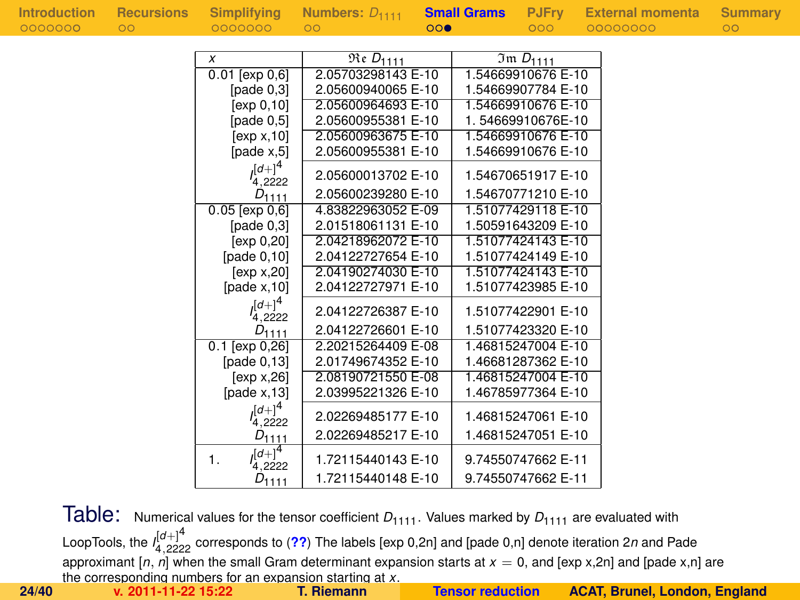| Introduction | <b>Recursions</b> | Simplifying                  | Numbers: $D_{1111}$                 |     | <b>Small Grams</b> | <b>PJFry</b>                | <b>External momenta</b> | Summary         |
|--------------|-------------------|------------------------------|-------------------------------------|-----|--------------------|-----------------------------|-------------------------|-----------------|
| 0000000      | $\circ$           | 0000000                      | $\circ$                             | 000 |                    | 000                         | 00000000                | $\overline{O}O$ |
|              |                   |                              |                                     |     |                    |                             |                         |                 |
|              |                   | X                            | $\overline{\mathfrak{Re}} D_{1111}$ |     |                    | $\overline{3}$ m $D_{1111}$ |                         |                 |
|              |                   | $0.01$ [ $exp 0.6$ ]         | 2.05703298143 E-10                  |     |                    | 1.54669910676 E-10          |                         |                 |
|              |                   | [ $pade 0,3$ ]               | 2.05600940065 E-10                  |     |                    | 1.54669907784 E-10          |                         |                 |
|              |                   | [ $exp 0, 10$ ]              | 2.05600964693 E-10                  |     |                    | 1.54669910676 E-10          |                         |                 |
|              |                   | [pade $0,5$ ]                | 2.05600955381 E-10                  |     |                    | 1.54669910676E-10           |                         |                 |
|              |                   | [exp x, 10]                  | 2.05600963675 E-10                  |     |                    | 1.54669910676 E-10          |                         |                 |
|              |                   | [pade $x,5$ ]                | 2.05600955381 E-10                  |     |                    | 1.54669910676 E-10          |                         |                 |
|              |                   | $(a+1)^4$<br>4,2222          | 2.05600013702 E-10                  |     |                    | 1.54670651917 E-10          |                         |                 |
|              |                   | $D_{1111}$                   | 2.05600239280 E-10                  |     |                    | 1.54670771210 E-10          |                         |                 |
|              |                   | $0.05$ [exp $0,6$ ]          | 4.83822963052 E-09                  |     |                    | 1.51077429118 E-10          |                         |                 |
|              |                   | [pade $0,3$ ]                | 2.01518061131 E-10                  |     |                    | 1.50591643209 E-10          |                         |                 |
|              |                   | [exp 0, 20]                  | 2.04218962072 E-10                  |     |                    | 1.51077424143 E-10          |                         |                 |
|              |                   | [pade $0,10$ ]               | 2.04122727654 E-10                  |     |                    | 1.51077424149 E-10          |                         |                 |
|              |                   | [exp x, 20]                  | 2.04190274030 E-10                  |     |                    | 1.51077424143 E-10          |                         |                 |
|              |                   | [pade $x$ , 10]              | 2.04122727971 E-10                  |     |                    | 1.51077423985 E-10          |                         |                 |
|              |                   | $\int [d+1]^4$<br>4,2222     | 2.04122726387 E-10                  |     |                    | 1.51077422901 E-10          |                         |                 |
|              |                   | $D_{1111}$                   | 2.04122726601 E-10                  |     |                    | 1.51077423320 E-10          |                         |                 |
|              |                   | $0.1$ [exp 0,26]             | 2.20215264409 E-08                  |     |                    | 1.46815247004 E-10          |                         |                 |
|              |                   | [pade $0,13$ ]               | 2.01749674352 E-10                  |     |                    | 1.46681287362 E-10          |                         |                 |
|              |                   | [exp x, 26]                  | 2.08190721550 E-08                  |     |                    | 1.46815247004 E-10          |                         |                 |
|              |                   | [pade $x$ , 13]              | 2.03995221326 E-10                  |     |                    | 1.46785977364 E-10          |                         |                 |
|              |                   | $\int [d+1]^4$<br>4,2222     | 2.02269485177 E-10                  |     |                    | 1.46815247061 E-10          |                         |                 |
|              |                   | $D_{1111}$                   | 2.02269485217 E-10                  |     |                    | 1.46815247051 E-10          |                         |                 |
|              |                   | $J^{[d+]}^4$<br>1.<br>4,2222 | 1.72115440143 E-10                  |     |                    | 9.74550747662 E-11          |                         |                 |
|              |                   | $D_{1111}$                   | 1.72115440148 E-10                  |     |                    | 9.74550747662 E-11          |                         |                 |

Table: Numerical values for the tensor coefficient  $D_{1111}$ . Values marked by  $D_{1111}$  are evaluated with LoopTools, the *I* [*d*+]4 <sup>4</sup>,<sup>2222</sup> corresponds to (**[??](#page-29-0)**) The labels [exp 0,2n] and [pade 0,n] denote iteration 2*n* and Pade approximant [*n*, *n*] when the small Gram determinant expansion starts at *x* = 0, and [exp x,2n] and [pade x,n] are the corresponding numbers for an expansion starting at *x*. **24/40 v. 2011-11-22 15:22 T. Riemann [Tensor reduction](#page-0-0) ACAT, Brunel, London, England**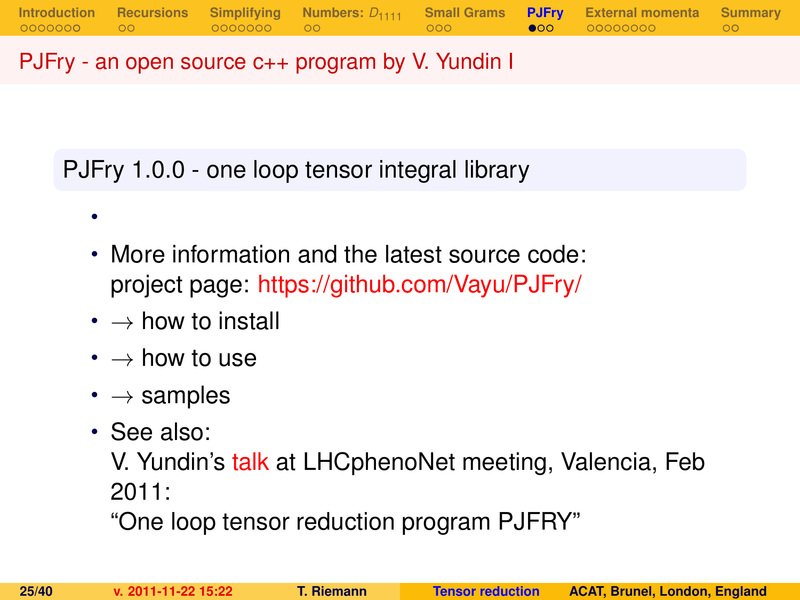PJFry - an open source c++ program by V. Yundin I

PJFry 1.0.0 - one loop tensor integral library

- More information and the latest source code: project page: <https://github.com/Vayu/PJFry/>
- $\cdot \rightarrow$  how to install
- $\bm{\cdot} \rightarrow$  how to use
- $\cdot \rightarrow$  samples
- See also:

•

V. Yundin's [talk](http://indico.ific.uv.es/indico/contributionDisplay.py?contribId=25&sessionId=15&confId=339) at LHCphenoNet meeting, Valencia, Feb 2011:

<span id="page-24-0"></span>"One loop tensor reduction program PJFRY"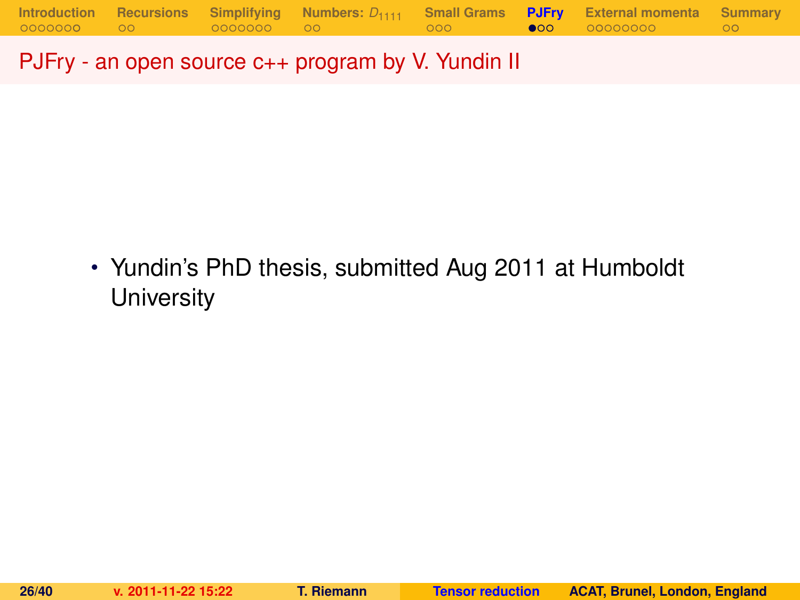PJFry - an open source c++ program by V. Yundin II

• Yundin's PhD thesis, submitted Aug 2011 at Humboldt **University**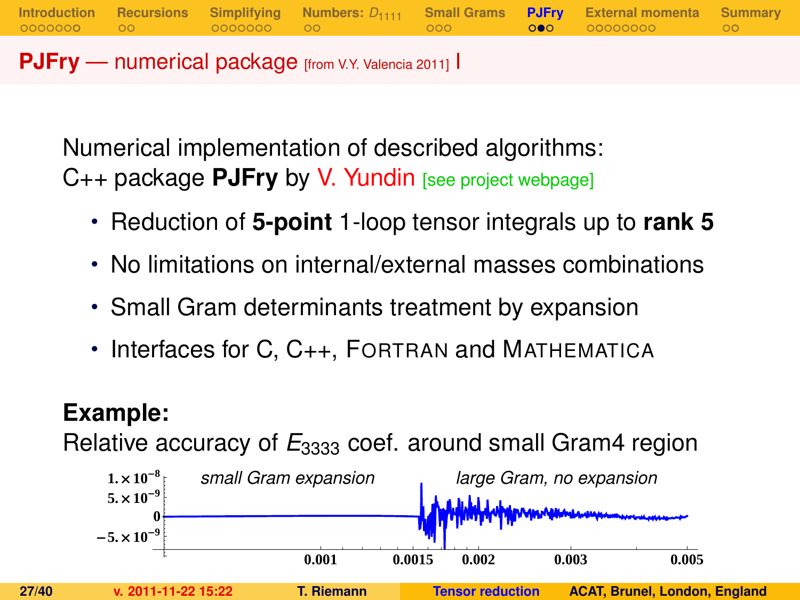**PJFry** — numerical package [from V.Y. Valencia 2011] I

Numerical implementation of described algorithms: C++ package **PJFry** by V. Yundin [see project webpage]

• Reduction of **5-point** 1-loop tensor integrals up to **rank 5**

**[Introduction](#page-1-0) [Recursions](#page-10-0) [Simplifying](#page-12-0) [Numbers:](#page-19-0)** *D*<sup>1111</sup> **[Small Grams](#page-21-0) [PJFry](#page-24-0) [External momenta](#page-28-0) [Summary](#page-37-0)**

- No limitations on internal/external masses combinations
- Small Gram determinants treatment by expansion
- Interfaces for C, C<sub>++</sub>, FORTRAN and MATHEMATICA

### **Example:**

Relative accuracy of  $E_{3333}$  coef. around small Gram4 region

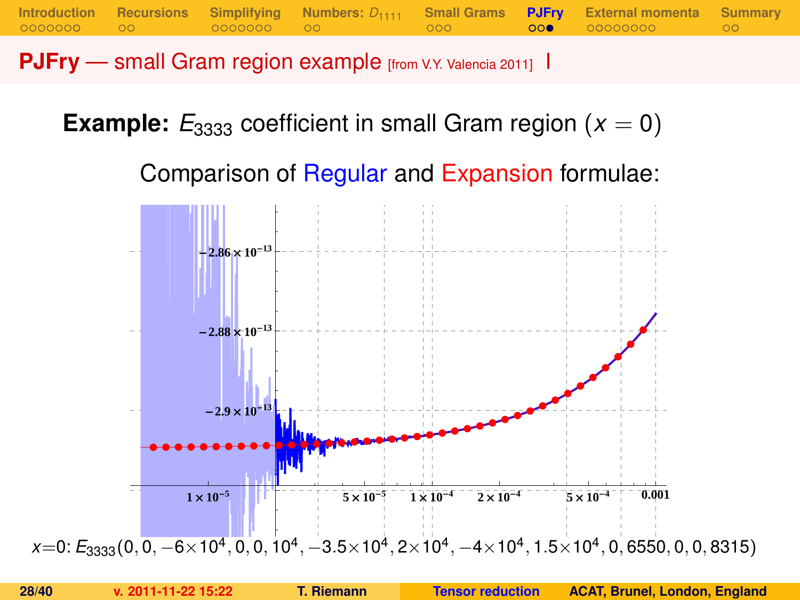**PJFry** — small Gram region example [from V.Y. Valencia 2011] I

**Example:**  $E_{3333}$  coefficient in small Gram region ( $x = 0$ )

Comparison of Regular and Expansion formulae:

**[Introduction](#page-1-0) [Recursions](#page-10-0) [Simplifying](#page-12-0) [Numbers:](#page-19-0)** *D*<sup>1111</sup> **[Small Grams](#page-21-0) [PJFry](#page-24-0) [External momenta](#page-28-0) [Summary](#page-37-0)**

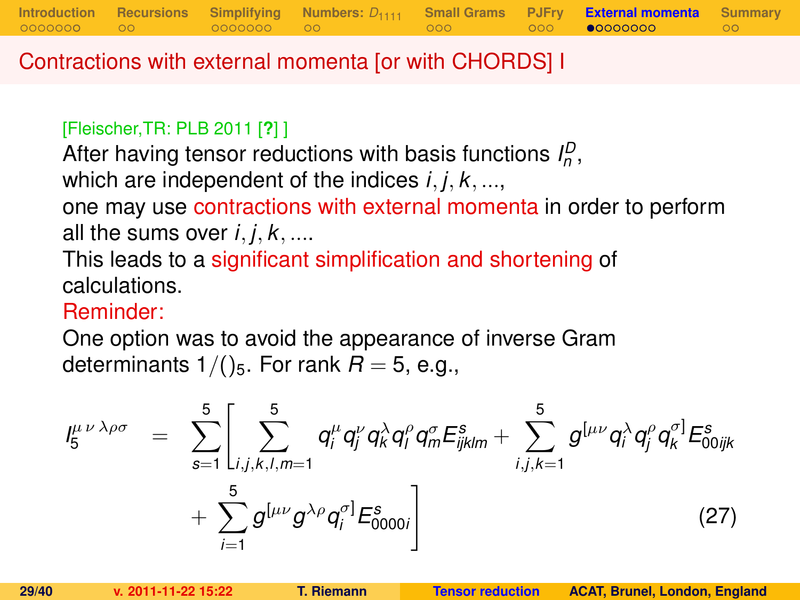Contractions with external momenta [or with CHORDS] I

#### [Fleischer,TR: PLB 2011 [**?**] ]

After having tensor reductions with basis functions  $I_p^D$ , which are independent of the indices *i*, *j*, *k*, ..., one may use contractions with external momenta in order to perform all the sums over  $i, j, k, \ldots$ 

**[Introduction](#page-1-0) [Recursions](#page-10-0) [Simplifying](#page-12-0) [Numbers:](#page-19-0)** *D*<sup>1111</sup> **[Small Grams](#page-21-0) [PJFry](#page-24-0) [External momenta](#page-28-0) [Summary](#page-37-0)**

This leads to a significant simplification and shortening of calculations.

### Reminder:

One option was to avoid the appearance of inverse Gram determinants  $1/()$ <sub>5</sub>. For rank  $R = 5$ , e.g.,

<span id="page-28-0"></span>
$$
I_{5}^{\mu\nu\lambda\rho\sigma} = \sum_{s=1}^{5} \left[ \sum_{i,j,k,l,m=1}^{5} q_{i}^{\mu} q_{j}^{\nu} q_{k}^{\lambda} q_{l}^{\rho} q_{m}^{\sigma} E_{ijklm}^{s} + \sum_{i,j,k=1}^{5} g^{[\mu\nu} q_{i}^{\lambda} q_{j}^{\rho} q_{k}^{\sigma}] E_{00ijk}^{s} + \sum_{i=1}^{5} g^{[\mu\nu} g^{\lambda\rho} q_{i}^{\sigma}] E_{0000i}^{s} \right]
$$
(27)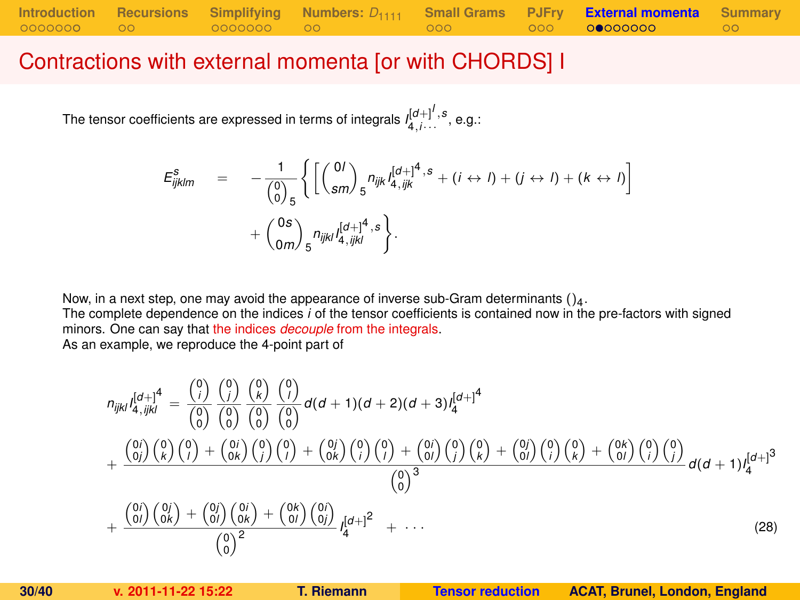### Contractions with external momenta [or with CHORDS] I

The tensor coefficients are expressed in terms of integrals  $I_{4,i\cdots}^{[d+]^I,s}$  , e.g.:

$$
E_{ijklm}^s = -\frac{1}{\binom{0}{0}_{5}} \left\{ \left[ \binom{0I}{sm} _5 n_{ijk} I_{4,ijk}^{[d+]^4, s} + (i \leftrightarrow I) + (j \leftrightarrow I) + (k \leftrightarrow I) \right] + \binom{0s}{am} _5 n_{ijkl} I_{4,ijkl}^{[d+]^4, s} \right\}.
$$

Now, in a next step, one may avoid the appearance of inverse sub-Gram determinants  $()_4$ .

The complete dependence on the indices *i* of the tensor coefficients is contained now in the pre-factors with signed minors. One can say that the indices *decouple* from the integrals.

As an example, we reproduce the 4-point part of

<span id="page-29-0"></span>
$$
n_{ijkl}I_{4,ijkl}^{[d+]4} = \frac{\binom{0}{i}}{\binom{0}{0}}\frac{\binom{0}{i}}{\binom{0}{0}}\frac{\binom{0}{k}}{\binom{0}{0}}\frac{\binom{0}{k}}{\binom{0}{0}}d(d+1)(d+2)(d+3)I_{4}^{[d+1]4}
$$

$$
+\frac{\binom{0}{i}}{\binom{0}{i}}\binom{0}{k}\binom{0}{i}+\binom{0}{0k}\binom{0}{j}\binom{0}{j}+\binom{0}{0k}\binom{0}{j}\binom{0}{k}+\binom{0}{0l}\binom{0}{j}\binom{0}{k}+\binom{0}{0l}\binom{0}{i}\binom{0}{k}+\binom{0}{0l}\binom{0}{j}\binom{0}{k}}{\binom{0}{0}^3}d(d+1)I_{4}^{[d+1]3}
$$

$$
+\frac{\binom{0}{i}}{\binom{0}{i}}\frac{\binom{0}{j}}{\binom{0}{k}}+\frac{\binom{0}{j}}{\binom{0}{j}}\frac{\binom{0}{j}}{\binom{0}{j}}+\frac{\binom{0}{j}}{\binom{0}{j}}\frac{\binom{0}{j}}{\binom{0}{j}}+\frac{\binom{0}{j}}{\binom{0}{j}}\frac{\binom{0}{j}}{\binom{0}{k}}+\frac{\binom{0}{j}}{\binom{0}{j}}\frac{\binom{0}{j}}{\binom{0}{k}}+\cdots
$$
(28)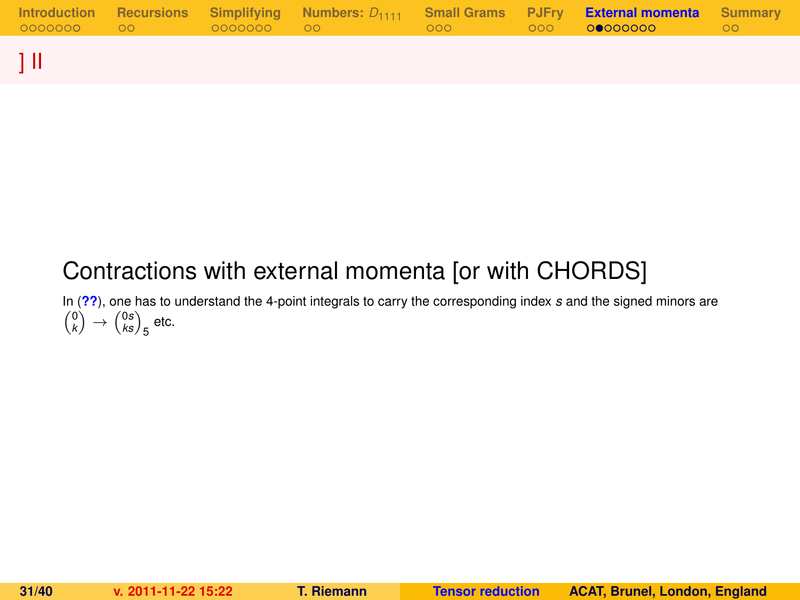|  |  |  | Introduction Recursions Simplifying Numbers: $D_{1111}$ Small-Grams PJFry <b>External-momenta</b> Summary | ററ |
|--|--|--|-----------------------------------------------------------------------------------------------------------|----|
|  |  |  |                                                                                                           |    |

## Contractions with external momenta [or with CHORDS]

In (**[??](#page-29-0)**), one has to understand the 4-point integrals to carry the corresponding index *s* and the signed minors are  $\binom{0}{k} \rightarrow \binom{0s}{ks}_5$  etc.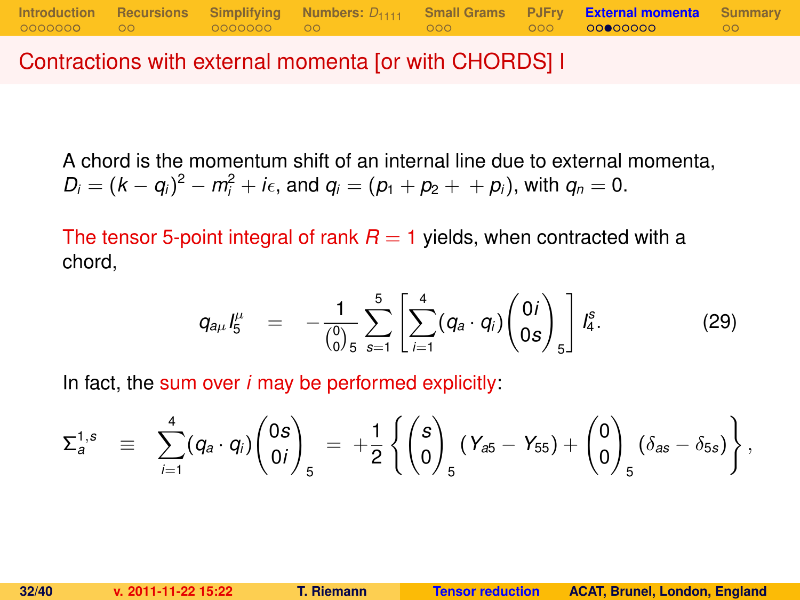Contractions with external momenta [or with CHORDS] I

A chord is the momentum shift of an internal line due to external momenta,  $D_i = (k - q_i)^2 - m_i^2 + i\epsilon$ , and  $q_i = (p_1 + p_2 + p_i)$ , with  $q_n = 0$ .

The tensor 5-point integral of rank  $R = 1$  yields, when contracted with a chord,

$$
q_{a\mu} I_5^{\mu} = -\frac{1}{\binom{0}{0} 5} \sum_{s=1}^5 \left[ \sum_{i=1}^4 (q_a \cdot q_i) \binom{0 i}{0 s} \right] I_4^s. \tag{29}
$$

In fact, the sum over *i* may be performed explicitly:

$$
\Sigma_a^{1,s} \equiv \sum_{i=1}^4 (q_a \cdot q_i) \begin{pmatrix} 0s \\ 0i \end{pmatrix}_5 = + \frac{1}{2} \left\{ \begin{pmatrix} s \\ 0 \end{pmatrix}_5 (Y_{a5} - Y_{55}) + \begin{pmatrix} 0 \\ 0 \end{pmatrix}_5 (\delta_{as} - \delta_{5s}) \right\},
$$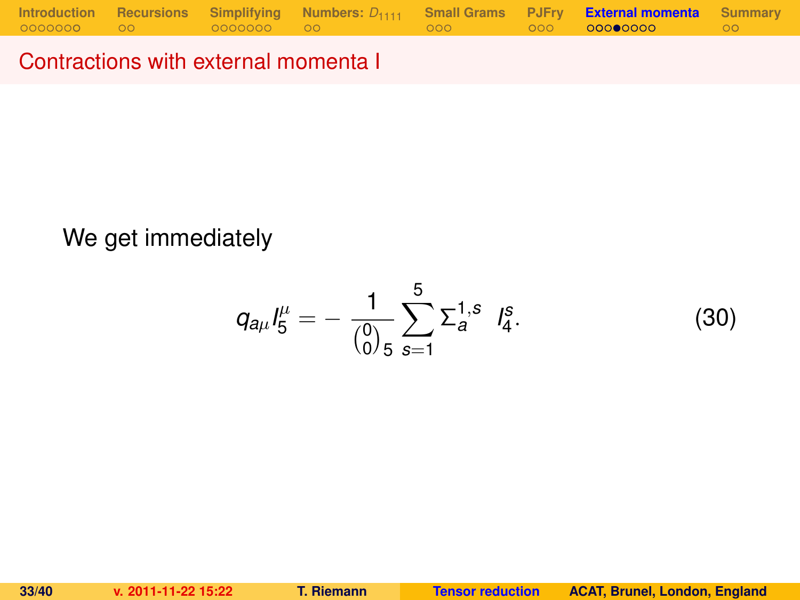Contractions with external momenta I

### We get immediately

$$
q_{a\mu}I_5^{\mu}=-\frac{1}{\binom{0}{0}5}\sum_{s=1}^5\Sigma_a^{1,s}I_4^s.
$$
 (30)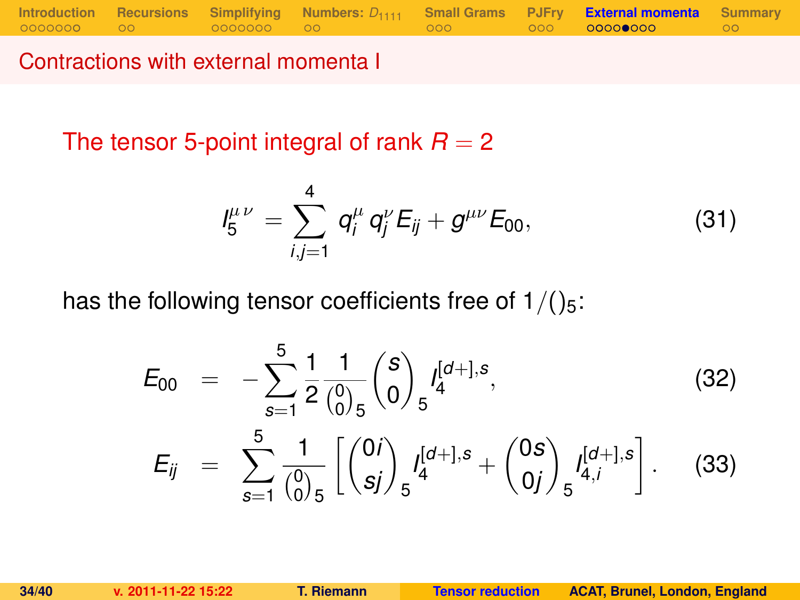Contractions with external momenta I

The tensor 5-point integral of rank  $R = 2$ 

<span id="page-33-0"></span>
$$
I_5^{\mu\nu} = \sum_{i,j=1}^4 q_i^{\mu} q_j^{\nu} E_{ij} + g^{\mu\nu} E_{00}, \qquad (31)
$$

has the following tensor coefficients free of  $1/(25)$ :

$$
E_{00} = -\sum_{s=1}^{5} \frac{1}{2} \frac{1}{\binom{0}{0}} \binom{s}{0} f_4^{[d+],s},
$$
\n
$$
E_{ij} = \sum_{s=1}^{5} \frac{1}{\binom{0}{0}} \left[ \binom{0i}{sj} f_5^{[d+],s} + \binom{0s}{0j} f_{4,i}^{[d+],s} \right].
$$
\n(33)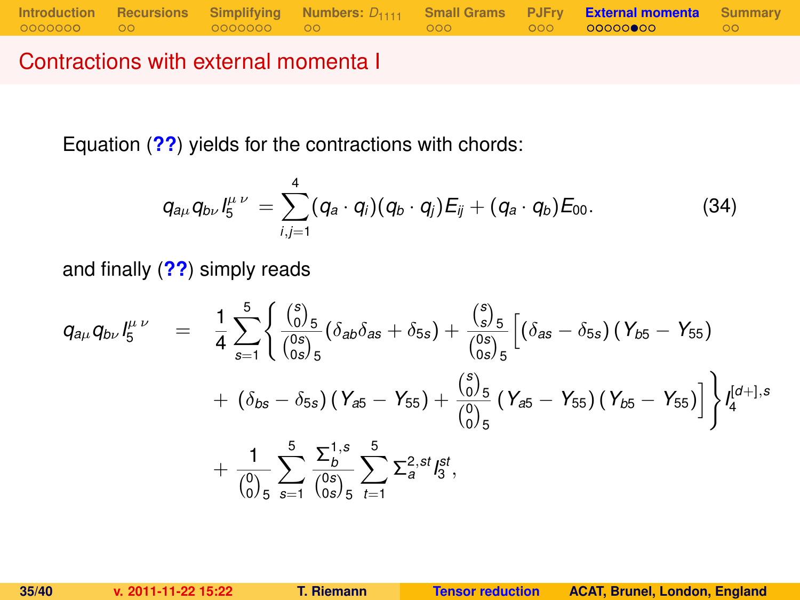Contractions with external momenta I

Equation (**[??](#page-33-0)**) yields for the contractions with chords:

<span id="page-34-0"></span>
$$
q_{a\mu}q_{b\nu}l_5^{\mu\nu}=\sum_{i,j=1}^4(q_a\cdot q_i)(q_b\cdot q_j)E_{ij}+(q_a\cdot q_b)E_{00}.
$$
 (34)

and finally (**[??](#page-34-0)**) simply reads

$$
q_{a\mu}q_{b\nu}I_5^{\mu\nu} = \frac{1}{4}\sum_{s=1}^5 \left\{ \frac{\binom{s}{0.5}}{\binom{0 s}{0 s/5}}(\delta_{a b}\delta_{a s} + \delta_{5 s}) + \frac{\binom{s}{5}}{\binom{0 s}{0 s/5}}\left[ (\delta_{a s} - \delta_{5 s}) (\gamma_{b 5} - \gamma_{5 5}) + (\delta_{b s} - \delta_{5 s}) (\gamma_{a 5} - \gamma_{5 5}) + \frac{\binom{s}{0.5}}{\binom{0}{0.5}} (\gamma_{a 5} - \gamma_{5 5}) (\gamma_{b 5} - \gamma_{5 5}) \right] \right\} I_4^{[d+],s}
$$
  
+ 
$$
\frac{1}{\binom{0}{0.5}}\sum_{s=1}^5 \frac{\sum_{b}^{1, s}}{\binom{0 s}{0 s}} \sum_{t=1}^5 \sum_{s=1}^{2, st} I_5^{st},
$$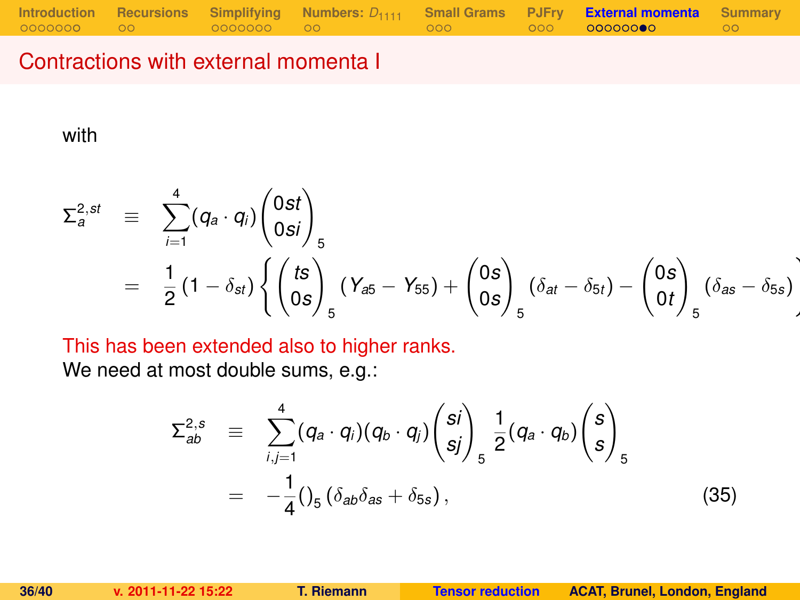### Contractions with external momenta I

with

$$
\Sigma_{a}^{2,st} \equiv \sum_{i=1}^{4} (q_{a} \cdot q_{i}) \begin{pmatrix} 0st \\ 0si \end{pmatrix}_{5}
$$
  
=  $\frac{1}{2} (1 - \delta_{st}) \left\{ \begin{pmatrix} ts \\ 0s \end{pmatrix}_{5} (Y_{a5} - Y_{55}) + \begin{pmatrix} 0s \\ 0s \end{pmatrix}_{5} (\delta_{at} - \delta_{5t}) - \begin{pmatrix} 0s \\ 0t \end{pmatrix}_{5} (\delta_{as} - \delta_{5s}) \right\}$ 

This has been extended also to higher ranks.

We need at most double sums, e.g.:

$$
\Sigma_{ab}^{2,s} \equiv \sum_{i,j=1}^{4} (q_a \cdot q_i)(q_b \cdot q_j) {s_i \choose s_j}_{s} \frac{1}{2} (q_a \cdot q_b) {s \choose s}_{s}
$$
  
=  $-\frac{1}{4} ()_5 ( \delta_{ab} \delta_{as} + \delta_{5s} ),$  (35)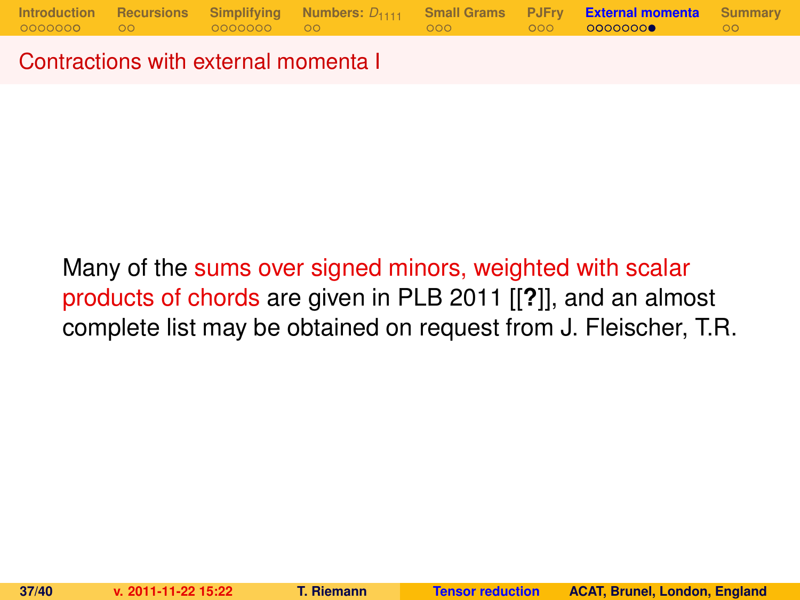Contractions with external momenta I

Many of the sums over signed minors, weighted with scalar products of chords are given in PLB 2011 [[**?**]], and an almost complete list may be obtained on request from J. Fleischer, T.R.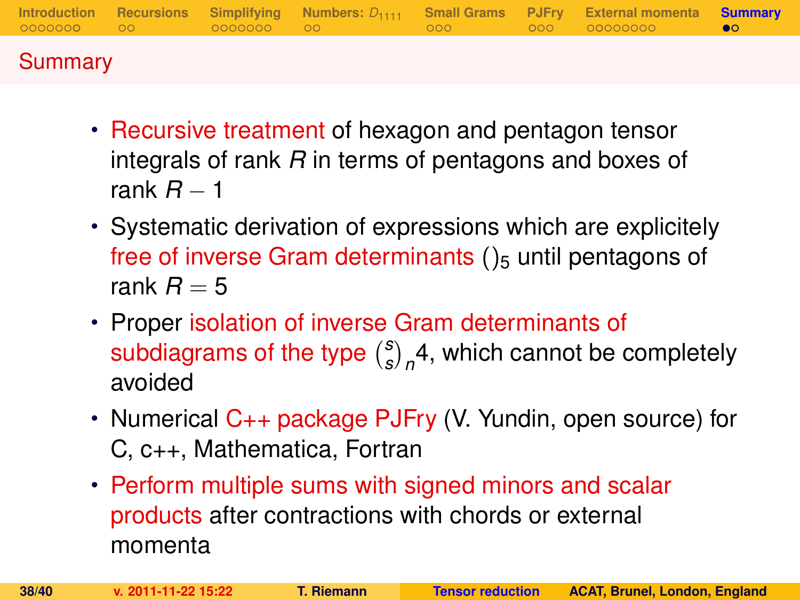|         |  |  | Introduction Recursions Simplifying Numbers: $D_{1111}$ Small-Grams PJFry External-momenta <b>Summary</b> |  |
|---------|--|--|-----------------------------------------------------------------------------------------------------------|--|
| Summary |  |  |                                                                                                           |  |

- Recursive treatment of hexagon and pentagon tensor integrals of rank *R* in terms of pentagons and boxes of rank *R* − 1
- Systematic derivation of expressions which are explicitely free of inverse Gram determinants  $()_5$  until pentagons of rank  $R = 5$
- Proper isolation of inverse Gram determinants of subdiagrams of the type *s*  $\binom{s}{s}_n$ 4, which cannot be completely avoided
- Numerical C++ package PJFry (V. Yundin, open source) for C, c++, Mathematica, Fortran
- <span id="page-37-0"></span>• Perform multiple sums with signed minors and scalar products after contractions with chords or external momenta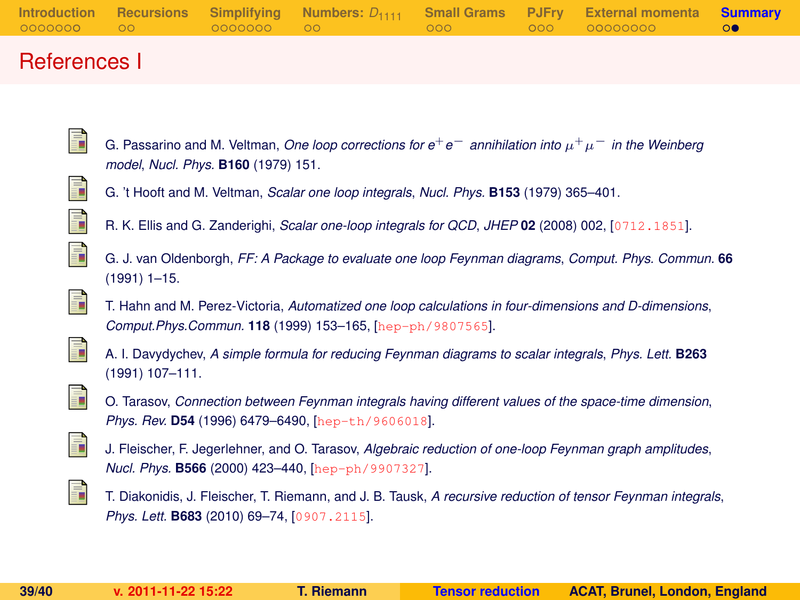|        |  |  | Introduction Recursions Simplifying Numbers: $D_{1111}$ Small Grams PJFry External momenta Summary |  |
|--------|--|--|----------------------------------------------------------------------------------------------------|--|
|        |  |  |                                                                                                    |  |
| $\sim$ |  |  |                                                                                                    |  |

### References I

- G. Passarino and M. Veltman, *One loop corrections for e*+*e*<sup>−</sup> *annihilation into* µ <sup>+</sup>µ<sup>−</sup> *in the Weinberg model*, *Nucl. Phys.* **B160** (1979) 151.
- ī  $\mathbb{R}^2$

ā.

- G. 't Hooft and M. Veltman, *Scalar one loop integrals*, *Nucl. Phys.* **B153** (1979) 365–401.
- R. K. Ellis and G. Zanderighi, *Scalar one-loop integrals for QCD*, *JHEP* **02** (2008) 002, [[0712.1851](http://xxx.lanl.gov/abs/0712.1851)].
- $\mathbb{R}^2$

F

- G. J. van Oldenborgh, *FF: A Package to evaluate one loop Feynman diagrams*, *Comput. Phys. Commun.* **66** (1991) 1–15.
- T. Hahn and M. Perez-Victoria, *Automatized one loop calculations in four-dimensions and D-dimensions*, *Comput.Phys.Commun.* **118** (1999) 153–165, [[hep-ph/9807565](http://xxx.lanl.gov/abs/hep-ph/9807565)].



A. I. Davydychev, *A simple formula for reducing Feynman diagrams to scalar integrals*, *Phys. Lett.* **B263** (1991) 107–111.



O. Tarasov, *Connection between Feynman integrals having different values of the space-time dimension*, *Phys. Rev.* **D54** (1996) 6479–6490, [[hep-th/9606018](http://xxx.lanl.gov/abs/hep-th/9606018)].



J. Fleischer, F. Jegerlehner, and O. Tarasov, *Algebraic reduction of one-loop Feynman graph amplitudes*, *Nucl. Phys.* **B566** (2000) 423–440, [[hep-ph/9907327](http://xxx.lanl.gov/abs/hep-ph/9907327)].



T. Diakonidis, J. Fleischer, T. Riemann, and J. B. Tausk, *A recursive reduction of tensor Feynman integrals*, *Phys. Lett.* **B683** (2010) 69–74, [[0907.2115](http://xxx.lanl.gov/abs/0907.2115)].